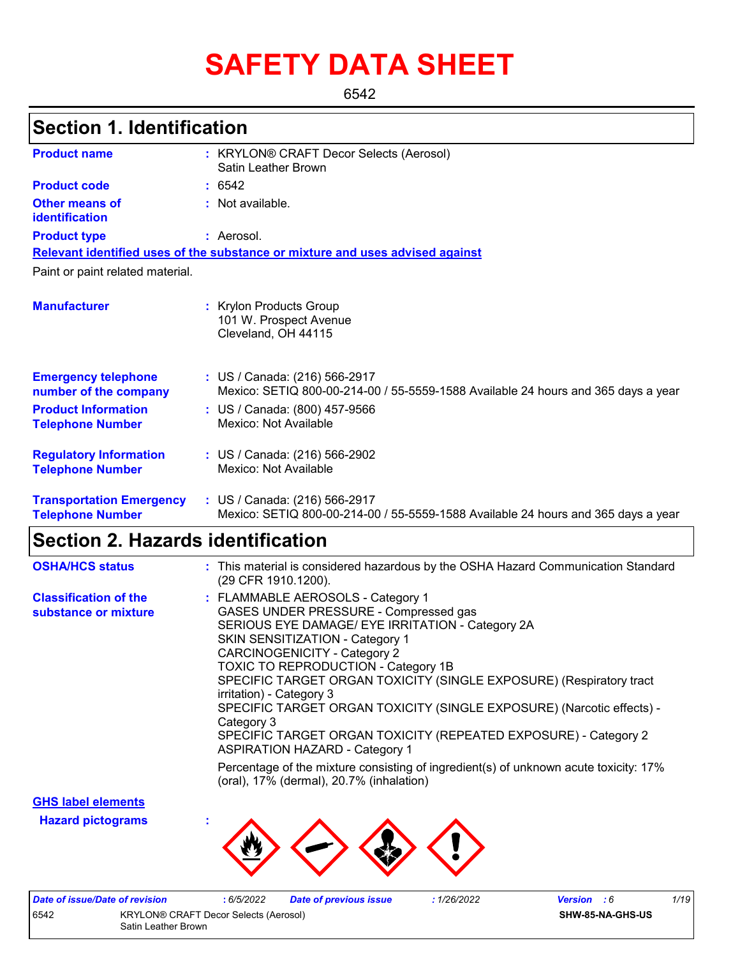# **SAFETY DATA SHEET**

6542

# **Section 1. Identification**

| <b>Product name</b>                                        | : KRYLON® CRAFT Decor Selects (Aerosol)<br>Satin Leather Brown                                                     |
|------------------------------------------------------------|--------------------------------------------------------------------------------------------------------------------|
| <b>Product code</b>                                        | : 6542                                                                                                             |
| <b>Other means of</b><br>identification                    | : Not available.                                                                                                   |
| <b>Product type</b>                                        | : Aerosol.                                                                                                         |
|                                                            | Relevant identified uses of the substance or mixture and uses advised against                                      |
| Paint or paint related material.                           |                                                                                                                    |
| <b>Manufacturer</b>                                        | : Krylon Products Group<br>101 W. Prospect Avenue<br>Cleveland, OH 44115                                           |
| <b>Emergency telephone</b><br>number of the company        | : US / Canada: (216) 566-2917<br>Mexico: SETIQ 800-00-214-00 / 55-5559-1588 Available 24 hours and 365 days a year |
| <b>Product Information</b><br><b>Telephone Number</b>      | : US / Canada: (800) 457-9566<br>Mexico: Not Available                                                             |
| <b>Regulatory Information</b><br><b>Telephone Number</b>   | : US / Canada: (216) 566-2902<br>Mexico: Not Available                                                             |
| <b>Transportation Emergency</b><br><b>Telephone Number</b> | : US / Canada: (216) 566-2917<br>Mexico: SETIQ 800-00-214-00 / 55-5559-1588 Available 24 hours and 365 days a year |

### **Section 2. Hazards identification**

| <b>OSHA/HCS status</b>                               | : This material is considered hazardous by the OSHA Hazard Communication Standard<br>(29 CFR 1910.1200).                                                                                                                                                                                                                                                                                                                                                                                                                                                     |
|------------------------------------------------------|--------------------------------------------------------------------------------------------------------------------------------------------------------------------------------------------------------------------------------------------------------------------------------------------------------------------------------------------------------------------------------------------------------------------------------------------------------------------------------------------------------------------------------------------------------------|
| <b>Classification of the</b><br>substance or mixture | : FLAMMABLE AEROSOLS - Category 1<br>GASES UNDER PRESSURE - Compressed gas<br>SERIOUS EYE DAMAGE/ EYE IRRITATION - Category 2A<br>SKIN SENSITIZATION - Category 1<br><b>CARCINOGENICITY - Category 2</b><br><b>TOXIC TO REPRODUCTION - Category 1B</b><br>SPECIFIC TARGET ORGAN TOXICITY (SINGLE EXPOSURE) (Respiratory tract<br>irritation) - Category 3<br>SPECIFIC TARGET ORGAN TOXICITY (SINGLE EXPOSURE) (Narcotic effects) -<br>Category 3<br>SPECIFIC TARGET ORGAN TOXICITY (REPEATED EXPOSURE) - Category 2<br><b>ASPIRATION HAZARD - Category 1</b> |
|                                                      | Percentage of the mixture consisting of ingredient(s) of unknown acute toxicity: 17%<br>(oral), 17% (dermal), 20.7% (inhalation)                                                                                                                                                                                                                                                                                                                                                                                                                             |

**GHS label elements**

**Hazard pictograms :**



| Date of issue/Date of revision                |  | 6/5/2022 | <b>Date of previous issue</b> | :1/26/2022 | <b>Version</b> : 6 |  | 1/19 |
|-----------------------------------------------|--|----------|-------------------------------|------------|--------------------|--|------|
| 6542<br>KRYLON® CRAFT Decor Selects (Aerosol) |  |          |                               |            | SHW-85-NA-GHS-US   |  |      |
| Satin Leather Brown                           |  |          |                               |            |                    |  |      |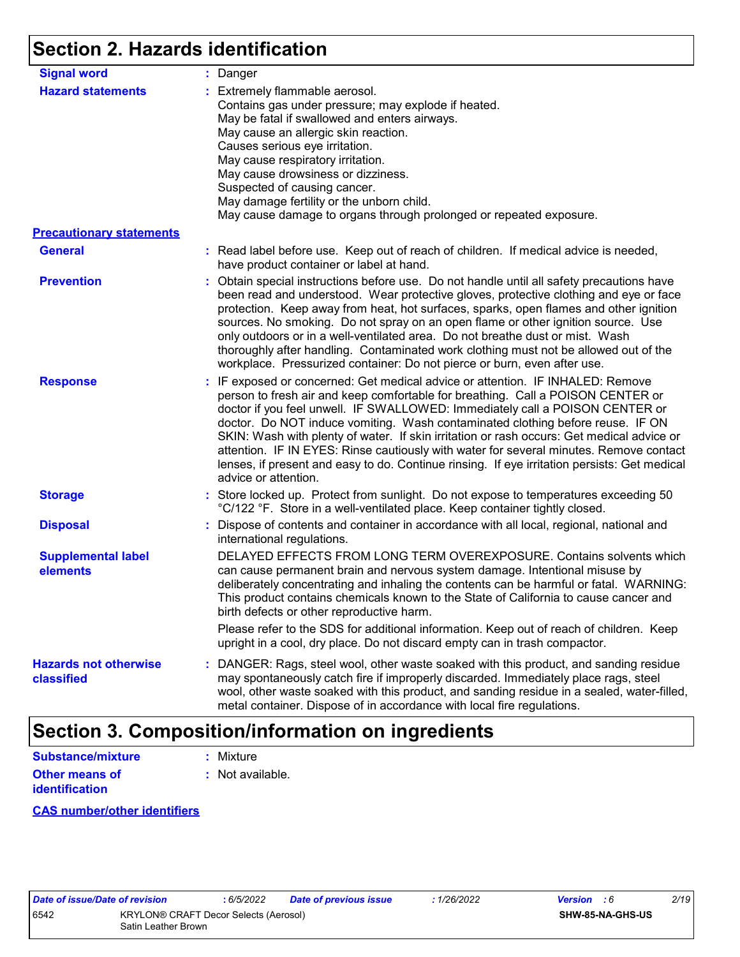# **Section 2. Hazards identification**

| <b>Signal word</b>                         | : Danger                                                                                                                                                                                                                                                                                                                                                                                                                                                                                                                                                                                                                                           |
|--------------------------------------------|----------------------------------------------------------------------------------------------------------------------------------------------------------------------------------------------------------------------------------------------------------------------------------------------------------------------------------------------------------------------------------------------------------------------------------------------------------------------------------------------------------------------------------------------------------------------------------------------------------------------------------------------------|
| <b>Hazard statements</b>                   | : Extremely flammable aerosol.<br>Contains gas under pressure; may explode if heated.<br>May be fatal if swallowed and enters airways.<br>May cause an allergic skin reaction.<br>Causes serious eye irritation.<br>May cause respiratory irritation.<br>May cause drowsiness or dizziness.<br>Suspected of causing cancer.<br>May damage fertility or the unborn child.<br>May cause damage to organs through prolonged or repeated exposure.                                                                                                                                                                                                     |
| <b>Precautionary statements</b>            |                                                                                                                                                                                                                                                                                                                                                                                                                                                                                                                                                                                                                                                    |
| <b>General</b>                             | : Read label before use. Keep out of reach of children. If medical advice is needed,<br>have product container or label at hand.                                                                                                                                                                                                                                                                                                                                                                                                                                                                                                                   |
| <b>Prevention</b>                          | : Obtain special instructions before use. Do not handle until all safety precautions have<br>been read and understood. Wear protective gloves, protective clothing and eye or face<br>protection. Keep away from heat, hot surfaces, sparks, open flames and other ignition<br>sources. No smoking. Do not spray on an open flame or other ignition source. Use<br>only outdoors or in a well-ventilated area. Do not breathe dust or mist. Wash<br>thoroughly after handling. Contaminated work clothing must not be allowed out of the<br>workplace. Pressurized container: Do not pierce or burn, even after use.                               |
| <b>Response</b>                            | : IF exposed or concerned: Get medical advice or attention. IF INHALED: Remove<br>person to fresh air and keep comfortable for breathing. Call a POISON CENTER or<br>doctor if you feel unwell. IF SWALLOWED: Immediately call a POISON CENTER or<br>doctor. Do NOT induce vomiting. Wash contaminated clothing before reuse. IF ON<br>SKIN: Wash with plenty of water. If skin irritation or rash occurs: Get medical advice or<br>attention. IF IN EYES: Rinse cautiously with water for several minutes. Remove contact<br>lenses, if present and easy to do. Continue rinsing. If eye irritation persists: Get medical<br>advice or attention. |
| <b>Storage</b>                             | : Store locked up. Protect from sunlight. Do not expose to temperatures exceeding 50<br>°C/122 °F. Store in a well-ventilated place. Keep container tightly closed.                                                                                                                                                                                                                                                                                                                                                                                                                                                                                |
| <b>Disposal</b>                            | : Dispose of contents and container in accordance with all local, regional, national and<br>international regulations.                                                                                                                                                                                                                                                                                                                                                                                                                                                                                                                             |
| <b>Supplemental label</b><br>elements      | DELAYED EFFECTS FROM LONG TERM OVEREXPOSURE. Contains solvents which<br>can cause permanent brain and nervous system damage. Intentional misuse by<br>deliberately concentrating and inhaling the contents can be harmful or fatal. WARNING:<br>This product contains chemicals known to the State of California to cause cancer and<br>birth defects or other reproductive harm.                                                                                                                                                                                                                                                                  |
|                                            | Please refer to the SDS for additional information. Keep out of reach of children. Keep<br>upright in a cool, dry place. Do not discard empty can in trash compactor.                                                                                                                                                                                                                                                                                                                                                                                                                                                                              |
| <b>Hazards not otherwise</b><br>classified | : DANGER: Rags, steel wool, other waste soaked with this product, and sanding residue<br>may spontaneously catch fire if improperly discarded. Immediately place rags, steel<br>wool, other waste soaked with this product, and sanding residue in a sealed, water-filled,<br>metal container. Dispose of in accordance with local fire regulations.                                                                                                                                                                                                                                                                                               |

# **Section 3. Composition/information on ingredients**

| <b>Substance/mixture</b>                | : Mixture          |
|-----------------------------------------|--------------------|
| Other means of<br><b>identification</b> | $:$ Not available. |

#### **CAS number/other identifiers**

| ate of issue/Date of re |            |
|-------------------------|------------|
| 542                     | <b>KRY</b> |
|                         | Satir      |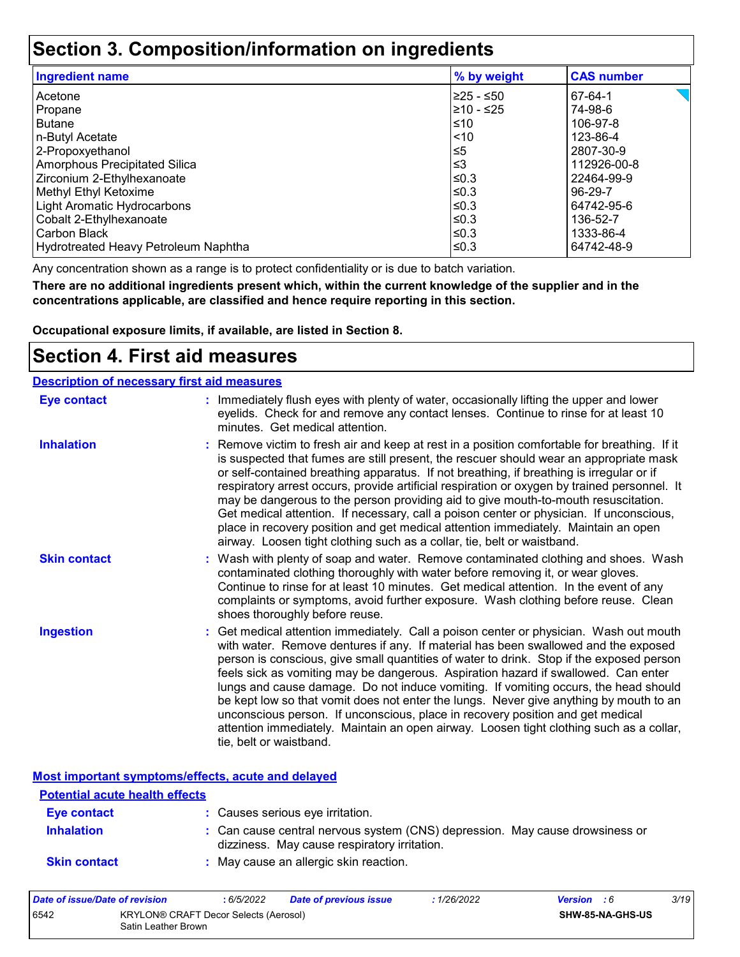## **Section 3. Composition/information on ingredients**

| <b>Ingredient name</b>               | % by weight | <b>CAS number</b> |
|--------------------------------------|-------------|-------------------|
| Acetone                              | I≥25 - ≤50  | 67-64-1           |
| Propane                              | 210 - ≤25   | 74-98-6           |
| <b>Butane</b>                        | ≤10         | 106-97-8          |
| n-Butyl Acetate                      | $ $ < 10    | 123-86-4          |
| 2-Propoxyethanol                     | l≤5         | 2807-30-9         |
| Amorphous Precipitated Silica        | l≤3         | 112926-00-8       |
| Zirconium 2-Ethylhexanoate           | l≤0.3       | 22464-99-9        |
| Methyl Ethyl Ketoxime                | l≤0.3       | 96-29-7           |
| Light Aromatic Hydrocarbons          | l≤0.3       | 64742-95-6        |
| Cobalt 2-Ethylhexanoate              | $\leq$ 0.3  | 136-52-7          |
| Carbon Black                         | l≤0.3       | 1333-86-4         |
| Hydrotreated Heavy Petroleum Naphtha | l≤0.3       | 64742-48-9        |

Any concentration shown as a range is to protect confidentiality or is due to batch variation.

**There are no additional ingredients present which, within the current knowledge of the supplier and in the concentrations applicable, are classified and hence require reporting in this section.**

**Occupational exposure limits, if available, are listed in Section 8.**

### **Section 4. First aid measures**

| <b>Description of necessary first aid measures</b> |                                                                                                                                                                                                                                                                                                                                                                                                                                                                                                                                                                                                                                                                                                                                                         |
|----------------------------------------------------|---------------------------------------------------------------------------------------------------------------------------------------------------------------------------------------------------------------------------------------------------------------------------------------------------------------------------------------------------------------------------------------------------------------------------------------------------------------------------------------------------------------------------------------------------------------------------------------------------------------------------------------------------------------------------------------------------------------------------------------------------------|
| <b>Eye contact</b>                                 | : Immediately flush eyes with plenty of water, occasionally lifting the upper and lower<br>eyelids. Check for and remove any contact lenses. Continue to rinse for at least 10<br>minutes. Get medical attention.                                                                                                                                                                                                                                                                                                                                                                                                                                                                                                                                       |
| <b>Inhalation</b>                                  | : Remove victim to fresh air and keep at rest in a position comfortable for breathing. If it<br>is suspected that fumes are still present, the rescuer should wear an appropriate mask<br>or self-contained breathing apparatus. If not breathing, if breathing is irregular or if<br>respiratory arrest occurs, provide artificial respiration or oxygen by trained personnel. It<br>may be dangerous to the person providing aid to give mouth-to-mouth resuscitation.<br>Get medical attention. If necessary, call a poison center or physician. If unconscious,<br>place in recovery position and get medical attention immediately. Maintain an open<br>airway. Loosen tight clothing such as a collar, tie, belt or waistband.                    |
| <b>Skin contact</b>                                | : Wash with plenty of soap and water. Remove contaminated clothing and shoes. Wash<br>contaminated clothing thoroughly with water before removing it, or wear gloves.<br>Continue to rinse for at least 10 minutes. Get medical attention. In the event of any<br>complaints or symptoms, avoid further exposure. Wash clothing before reuse. Clean<br>shoes thoroughly before reuse.                                                                                                                                                                                                                                                                                                                                                                   |
| <b>Ingestion</b>                                   | : Get medical attention immediately. Call a poison center or physician. Wash out mouth<br>with water. Remove dentures if any. If material has been swallowed and the exposed<br>person is conscious, give small quantities of water to drink. Stop if the exposed person<br>feels sick as vomiting may be dangerous. Aspiration hazard if swallowed. Can enter<br>lungs and cause damage. Do not induce vomiting. If vomiting occurs, the head should<br>be kept low so that vomit does not enter the lungs. Never give anything by mouth to an<br>unconscious person. If unconscious, place in recovery position and get medical<br>attention immediately. Maintain an open airway. Loosen tight clothing such as a collar,<br>tie, belt or waistband. |

**Most important symptoms/effects, acute and delayed**

| <b>Potential acute health effects</b> |                                                                                                                              |
|---------------------------------------|------------------------------------------------------------------------------------------------------------------------------|
| Eye contact                           | : Causes serious eye irritation.                                                                                             |
| <b>Inhalation</b>                     | : Can cause central nervous system (CNS) depression. May cause drowsiness or<br>dizziness. May cause respiratory irritation. |
| <b>Skin contact</b>                   | : May cause an allergic skin reaction.                                                                                       |

| Date of issue/Date of revision                                       |  | : 6/5/2022 | <b>Date of previous issue</b> | : 1/26/2022 | <b>Version</b> : 6 |  | 3/19 |
|----------------------------------------------------------------------|--|------------|-------------------------------|-------------|--------------------|--|------|
| 6542<br>KRYLON® CRAFT Decor Selects (Aerosol)<br>Satin Leather Brown |  |            |                               |             | SHW-85-NA-GHS-US   |  |      |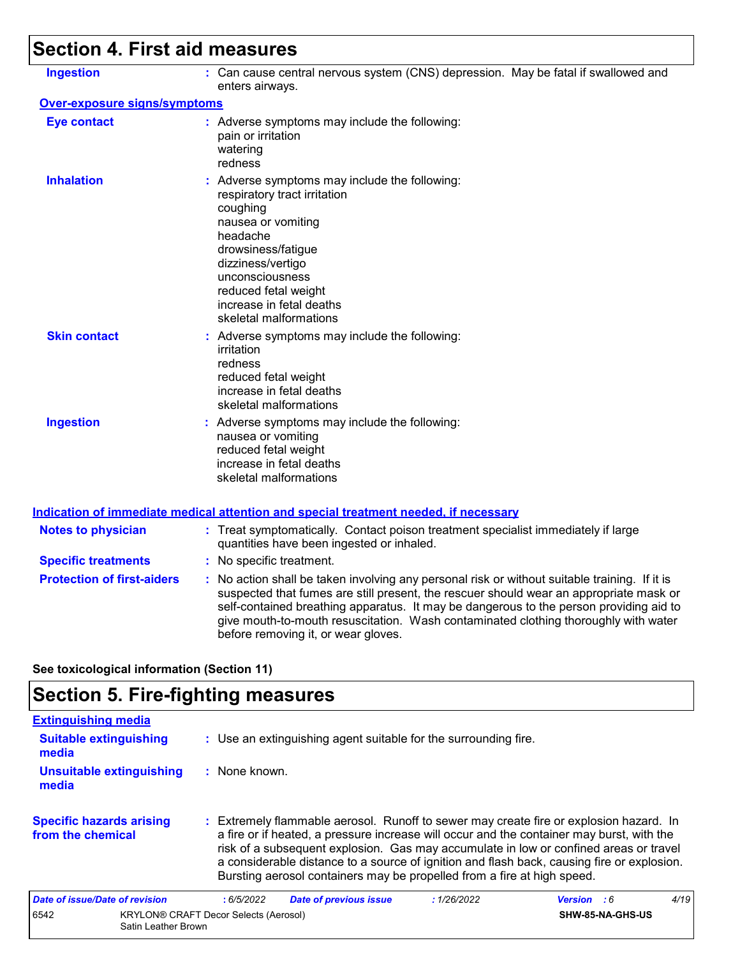# **Section 4. First aid measures**

| <b>Ingestion</b>                    | : Can cause central nervous system (CNS) depression. May be fatal if swallowed and<br>enters airways.                                                                                                                                                                                                                                                                                                           |
|-------------------------------------|-----------------------------------------------------------------------------------------------------------------------------------------------------------------------------------------------------------------------------------------------------------------------------------------------------------------------------------------------------------------------------------------------------------------|
| <b>Over-exposure signs/symptoms</b> |                                                                                                                                                                                                                                                                                                                                                                                                                 |
| <b>Eye contact</b>                  | : Adverse symptoms may include the following:<br>pain or irritation<br>watering<br>redness                                                                                                                                                                                                                                                                                                                      |
| <b>Inhalation</b>                   | : Adverse symptoms may include the following:<br>respiratory tract irritation<br>coughing<br>nausea or vomiting<br>headache<br>drowsiness/fatigue<br>dizziness/vertigo<br>unconsciousness<br>reduced fetal weight<br>increase in fetal deaths<br>skeletal malformations                                                                                                                                         |
| <b>Skin contact</b>                 | : Adverse symptoms may include the following:<br>irritation<br>redness<br>reduced fetal weight<br>increase in fetal deaths<br>skeletal malformations                                                                                                                                                                                                                                                            |
| <b>Ingestion</b>                    | : Adverse symptoms may include the following:<br>nausea or vomiting<br>reduced fetal weight<br>increase in fetal deaths<br>skeletal malformations                                                                                                                                                                                                                                                               |
|                                     | <b>Indication of immediate medical attention and special treatment needed, if necessary</b>                                                                                                                                                                                                                                                                                                                     |
| <b>Notes to physician</b>           | : Treat symptomatically. Contact poison treatment specialist immediately if large<br>quantities have been ingested or inhaled.                                                                                                                                                                                                                                                                                  |
| <b>Specific treatments</b>          | : No specific treatment.                                                                                                                                                                                                                                                                                                                                                                                        |
| <b>Protection of first-aiders</b>   | : No action shall be taken involving any personal risk or without suitable training. If it is<br>suspected that fumes are still present, the rescuer should wear an appropriate mask or<br>self-contained breathing apparatus. It may be dangerous to the person providing aid to<br>give mouth-to-mouth resuscitation. Wash contaminated clothing thoroughly with water<br>before removing it, or wear gloves. |

**See toxicological information (Section 11)**

# **Section 5. Fire-fighting measures**

| <b>Extinguishing media</b>                           |                                                                                                                                                                                                                                                                                                                                                                                                                                                       |                    |      |
|------------------------------------------------------|-------------------------------------------------------------------------------------------------------------------------------------------------------------------------------------------------------------------------------------------------------------------------------------------------------------------------------------------------------------------------------------------------------------------------------------------------------|--------------------|------|
| <b>Suitable extinguishing</b><br>media               | : Use an extinguishing agent suitable for the surrounding fire.                                                                                                                                                                                                                                                                                                                                                                                       |                    |      |
| Unsuitable extinguishing<br>media                    | : None known.                                                                                                                                                                                                                                                                                                                                                                                                                                         |                    |      |
| <b>Specific hazards arising</b><br>from the chemical | : Extremely flammable aerosol. Runoff to sewer may create fire or explosion hazard. In<br>a fire or if heated, a pressure increase will occur and the container may burst, with the<br>risk of a subsequent explosion. Gas may accumulate in low or confined areas or travel<br>a considerable distance to a source of ignition and flash back, causing fire or explosion.<br>Bursting aerosol containers may be propelled from a fire at high speed. |                    |      |
| Date of issue/Date of revision                       | <b>Date of previous issue</b><br>: 6/5/2022<br>: 1/26/2022                                                                                                                                                                                                                                                                                                                                                                                            | <b>Version</b> : 6 | 4/19 |
| 6542<br>Satin Leather Brown                          | <b>KRYLON® CRAFT Decor Selects (Aerosol)</b>                                                                                                                                                                                                                                                                                                                                                                                                          | SHW-85-NA-GHS-US   |      |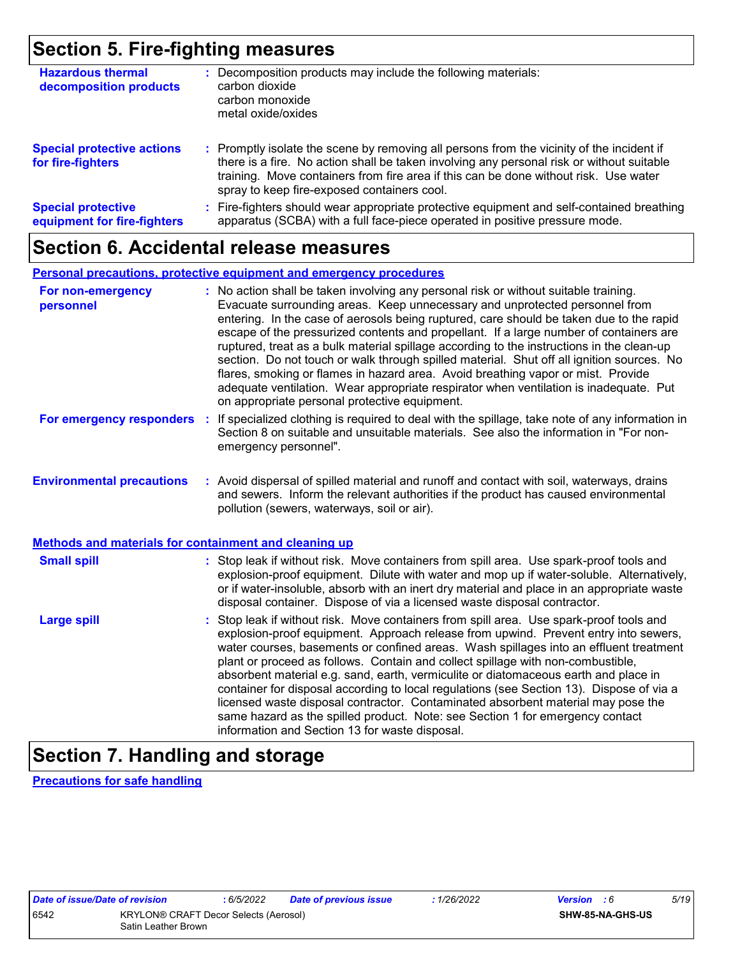## **Section 5. Fire-fighting measures**

| <b>Hazardous thermal</b><br>decomposition products       | Decomposition products may include the following materials:<br>carbon dioxide<br>carbon monoxide<br>metal oxide/oxides                                                                                                                                                                                                        |
|----------------------------------------------------------|-------------------------------------------------------------------------------------------------------------------------------------------------------------------------------------------------------------------------------------------------------------------------------------------------------------------------------|
| <b>Special protective actions</b><br>for fire-fighters   | : Promptly isolate the scene by removing all persons from the vicinity of the incident if<br>there is a fire. No action shall be taken involving any personal risk or without suitable<br>training. Move containers from fire area if this can be done without risk. Use water<br>spray to keep fire-exposed containers cool. |
| <b>Special protective</b><br>equipment for fire-fighters | Fire-fighters should wear appropriate protective equipment and self-contained breathing<br>apparatus (SCBA) with a full face-piece operated in positive pressure mode.                                                                                                                                                        |

### **Section 6. Accidental release measures**

#### **Personal precautions, protective equipment and emergency procedures**

| For non-emergency<br>personnel                        | : No action shall be taken involving any personal risk or without suitable training.<br>Evacuate surrounding areas. Keep unnecessary and unprotected personnel from<br>entering. In the case of aerosols being ruptured, care should be taken due to the rapid<br>escape of the pressurized contents and propellant. If a large number of containers are<br>ruptured, treat as a bulk material spillage according to the instructions in the clean-up<br>section. Do not touch or walk through spilled material. Shut off all ignition sources. No<br>flares, smoking or flames in hazard area. Avoid breathing vapor or mist. Provide<br>adequate ventilation. Wear appropriate respirator when ventilation is inadequate. Put<br>on appropriate personal protective equipment. |  |  |  |
|-------------------------------------------------------|----------------------------------------------------------------------------------------------------------------------------------------------------------------------------------------------------------------------------------------------------------------------------------------------------------------------------------------------------------------------------------------------------------------------------------------------------------------------------------------------------------------------------------------------------------------------------------------------------------------------------------------------------------------------------------------------------------------------------------------------------------------------------------|--|--|--|
| For emergency responders                              | : If specialized clothing is required to deal with the spillage, take note of any information in<br>Section 8 on suitable and unsuitable materials. See also the information in "For non-<br>emergency personnel".                                                                                                                                                                                                                                                                                                                                                                                                                                                                                                                                                               |  |  |  |
| <b>Environmental precautions</b>                      | : Avoid dispersal of spilled material and runoff and contact with soil, waterways, drains<br>and sewers. Inform the relevant authorities if the product has caused environmental<br>pollution (sewers, waterways, soil or air).                                                                                                                                                                                                                                                                                                                                                                                                                                                                                                                                                  |  |  |  |
| Methods and materials for containment and cleaning up |                                                                                                                                                                                                                                                                                                                                                                                                                                                                                                                                                                                                                                                                                                                                                                                  |  |  |  |
| <b>Small spill</b>                                    | : Stop leak if without risk. Move containers from spill area. Use spark-proof tools and<br>explosion-proof equipment. Dilute with water and mop up if water-soluble. Alternatively,<br>or if water-insoluble, absorb with an inert dry material and place in an appropriate waste<br>disposal container. Dispose of via a licensed waste disposal contractor.                                                                                                                                                                                                                                                                                                                                                                                                                    |  |  |  |
| <b>Large spill</b>                                    | : Stop leak if without risk. Move containers from spill area. Use spark-proof tools and<br>explosion-proof equipment. Approach release from upwind. Prevent entry into sewers,<br>water courses, basements or confined areas. Wash spillages into an effluent treatment<br>plant or proceed as follows. Contain and collect spillage with non-combustible,<br>absorbent material e.g. sand, earth, vermiculite or diatomaceous earth and place in<br>container for disposal according to local regulations (see Section 13). Dispose of via a<br>licensed waste disposal contractor. Contaminated absorbent material may pose the<br>same hazard as the spilled product. Note: see Section 1 for emergency contact<br>information and Section 13 for waste disposal.             |  |  |  |

# **Section 7. Handling and storage**

**Precautions for safe handling**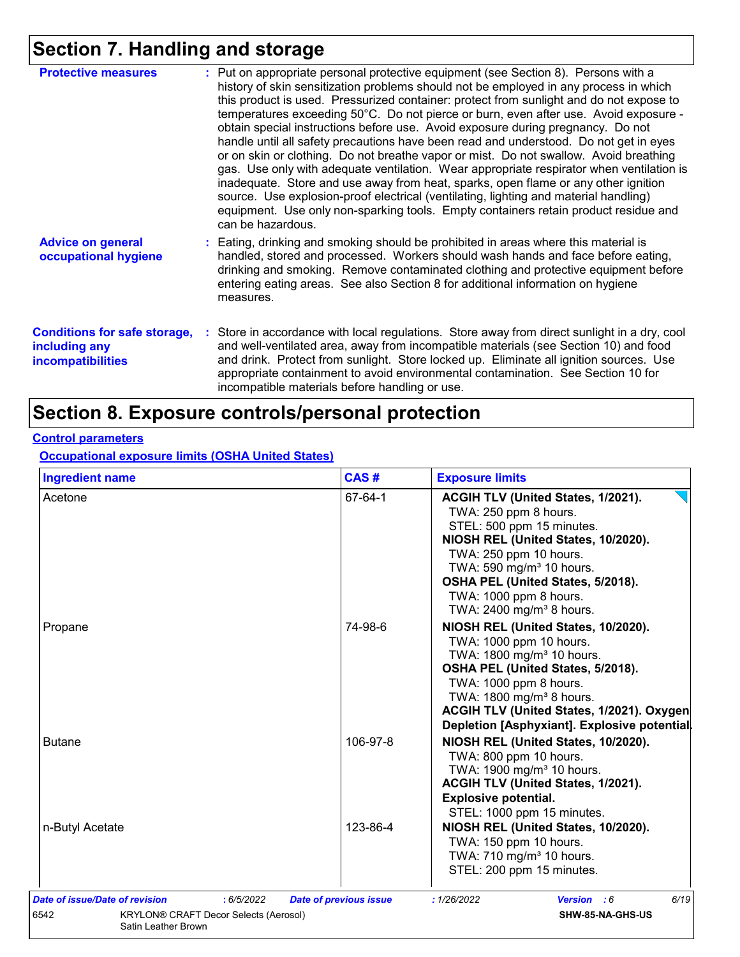# **Section 7. Handling and storage**

| <b>Protective measures</b>                                                       | : Put on appropriate personal protective equipment (see Section 8). Persons with a<br>history of skin sensitization problems should not be employed in any process in which<br>this product is used. Pressurized container: protect from sunlight and do not expose to<br>temperatures exceeding 50°C. Do not pierce or burn, even after use. Avoid exposure -<br>obtain special instructions before use. Avoid exposure during pregnancy. Do not<br>handle until all safety precautions have been read and understood. Do not get in eyes<br>or on skin or clothing. Do not breathe vapor or mist. Do not swallow. Avoid breathing<br>gas. Use only with adequate ventilation. Wear appropriate respirator when ventilation is<br>inadequate. Store and use away from heat, sparks, open flame or any other ignition<br>source. Use explosion-proof electrical (ventilating, lighting and material handling)<br>equipment. Use only non-sparking tools. Empty containers retain product residue and<br>can be hazardous. |
|----------------------------------------------------------------------------------|---------------------------------------------------------------------------------------------------------------------------------------------------------------------------------------------------------------------------------------------------------------------------------------------------------------------------------------------------------------------------------------------------------------------------------------------------------------------------------------------------------------------------------------------------------------------------------------------------------------------------------------------------------------------------------------------------------------------------------------------------------------------------------------------------------------------------------------------------------------------------------------------------------------------------------------------------------------------------------------------------------------------------|
| <b>Advice on general</b><br>occupational hygiene                                 | : Eating, drinking and smoking should be prohibited in areas where this material is<br>handled, stored and processed. Workers should wash hands and face before eating,<br>drinking and smoking. Remove contaminated clothing and protective equipment before<br>entering eating areas. See also Section 8 for additional information on hygiene<br>measures.                                                                                                                                                                                                                                                                                                                                                                                                                                                                                                                                                                                                                                                             |
| <b>Conditions for safe storage,</b><br>including any<br><b>incompatibilities</b> | : Store in accordance with local regulations. Store away from direct sunlight in a dry, cool<br>and well-ventilated area, away from incompatible materials (see Section 10) and food<br>and drink. Protect from sunlight. Store locked up. Eliminate all ignition sources. Use<br>appropriate containment to avoid environmental contamination. See Section 10 for<br>incompatible materials before handling or use.                                                                                                                                                                                                                                                                                                                                                                                                                                                                                                                                                                                                      |

# **Section 8. Exposure controls/personal protection**

#### **Control parameters**

**Occupational exposure limits (OSHA United States)**

| <b>Ingredient name</b>                                                                                               | CAS#                          | <b>Exposure limits</b>                                                                                                                                                                                                                                                                                      |
|----------------------------------------------------------------------------------------------------------------------|-------------------------------|-------------------------------------------------------------------------------------------------------------------------------------------------------------------------------------------------------------------------------------------------------------------------------------------------------------|
| Acetone                                                                                                              | 67-64-1                       | ACGIH TLV (United States, 1/2021).<br>TWA: 250 ppm 8 hours.<br>STEL: 500 ppm 15 minutes.<br>NIOSH REL (United States, 10/2020).<br>TWA: 250 ppm 10 hours.<br>TWA: 590 mg/m <sup>3</sup> 10 hours.<br>OSHA PEL (United States, 5/2018).<br>TWA: 1000 ppm 8 hours.<br>TWA: 2400 mg/m <sup>3</sup> 8 hours.    |
| Propane                                                                                                              | 74-98-6                       | NIOSH REL (United States, 10/2020).<br>TWA: 1000 ppm 10 hours.<br>TWA: 1800 mg/m <sup>3</sup> 10 hours.<br>OSHA PEL (United States, 5/2018).<br>TWA: 1000 ppm 8 hours.<br>TWA: 1800 mg/m <sup>3</sup> 8 hours.<br>ACGIH TLV (United States, 1/2021). Oxygen<br>Depletion [Asphyxiant]. Explosive potential. |
| <b>Butane</b>                                                                                                        | 106-97-8                      | NIOSH REL (United States, 10/2020).<br>TWA: 800 ppm 10 hours.<br>TWA: 1900 mg/m <sup>3</sup> 10 hours.<br>ACGIH TLV (United States, 1/2021).<br><b>Explosive potential.</b><br>STEL: 1000 ppm 15 minutes.                                                                                                   |
| n-Butyl Acetate                                                                                                      | 123-86-4                      | NIOSH REL (United States, 10/2020).<br>TWA: 150 ppm 10 hours.<br>TWA: 710 mg/m <sup>3</sup> 10 hours.<br>STEL: 200 ppm 15 minutes.                                                                                                                                                                          |
| Date of issue/Date of revision<br>: 6/5/2022<br>KRYLON® CRAFT Decor Selects (Aerosol)<br>6542<br>Satin Leather Brown | <b>Date of previous issue</b> | 6/19<br>: 1/26/2022<br><b>Version</b> : 6<br>SHW-85-NA-GHS-US                                                                                                                                                                                                                                               |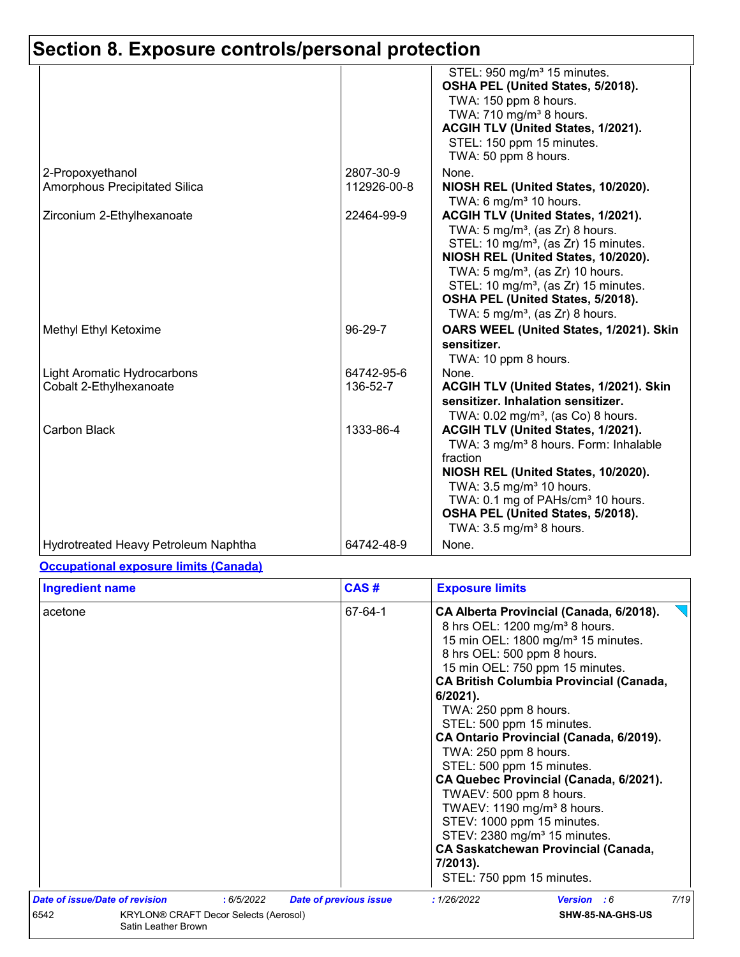|                                      |             | STEL: 950 mg/m <sup>3</sup> 15 minutes.<br>OSHA PEL (United States, 5/2018).<br>TWA: 150 ppm 8 hours.<br>TWA: 710 mg/m <sup>3</sup> 8 hours.<br>ACGIH TLV (United States, 1/2021).<br>STEL: 150 ppm 15 minutes.<br>TWA: 50 ppm 8 hours.                                                                                                                             |
|--------------------------------------|-------------|---------------------------------------------------------------------------------------------------------------------------------------------------------------------------------------------------------------------------------------------------------------------------------------------------------------------------------------------------------------------|
| 2-Propoxyethanol                     | 2807-30-9   | None.                                                                                                                                                                                                                                                                                                                                                               |
| Amorphous Precipitated Silica        | 112926-00-8 | NIOSH REL (United States, 10/2020).<br>TWA: 6 mg/m $3$ 10 hours.                                                                                                                                                                                                                                                                                                    |
| Zirconium 2-Ethylhexanoate           | 22464-99-9  | ACGIH TLV (United States, 1/2021).<br>TWA: 5 mg/m <sup>3</sup> , (as Zr) 8 hours.<br>STEL: 10 mg/m <sup>3</sup> , (as Zr) 15 minutes.<br>NIOSH REL (United States, 10/2020).<br>TWA: 5 mg/m <sup>3</sup> , (as Zr) 10 hours.<br>STEL: 10 mg/m <sup>3</sup> , (as Zr) 15 minutes.<br>OSHA PEL (United States, 5/2018).<br>TWA: $5 \text{ mg/m}^3$ , (as Zr) 8 hours. |
| Methyl Ethyl Ketoxime                | 96-29-7     | OARS WEEL (United States, 1/2021). Skin<br>sensitizer.<br>TWA: 10 ppm 8 hours.                                                                                                                                                                                                                                                                                      |
| Light Aromatic Hydrocarbons          | 64742-95-6  | None.                                                                                                                                                                                                                                                                                                                                                               |
| Cobalt 2-Ethylhexanoate              | 136-52-7    | ACGIH TLV (United States, 1/2021). Skin<br>sensitizer. Inhalation sensitizer.<br>TWA: 0.02 mg/m <sup>3</sup> , (as Co) 8 hours.                                                                                                                                                                                                                                     |
| Carbon Black                         | 1333-86-4   | ACGIH TLV (United States, 1/2021).<br>TWA: 3 mg/m <sup>3</sup> 8 hours. Form: Inhalable<br>fraction<br>NIOSH REL (United States, 10/2020).<br>TWA: 3.5 mg/m <sup>3</sup> 10 hours.<br>TWA: 0.1 mg of PAHs/cm <sup>3</sup> 10 hours.<br>OSHA PEL (United States, 5/2018).<br>TWA: $3.5 \text{ mg/m}^3$ 8 hours.                                                      |
| Hydrotreated Heavy Petroleum Naphtha | 64742-48-9  | None.                                                                                                                                                                                                                                                                                                                                                               |

#### **Occupational exposure limits (Canada)**

| <b>Ingredient name</b>         | CAS#                                        | <b>Exposure limits</b>                                                                                                                                                                                                                                                                                                                                                                                                                                                                                                                                                                                                                                                                                            |
|--------------------------------|---------------------------------------------|-------------------------------------------------------------------------------------------------------------------------------------------------------------------------------------------------------------------------------------------------------------------------------------------------------------------------------------------------------------------------------------------------------------------------------------------------------------------------------------------------------------------------------------------------------------------------------------------------------------------------------------------------------------------------------------------------------------------|
| acetone                        | 67-64-1                                     | CA Alberta Provincial (Canada, 6/2018).<br>8 hrs OEL: 1200 mg/m <sup>3</sup> 8 hours.<br>15 min OEL: 1800 mg/m <sup>3</sup> 15 minutes.<br>8 hrs OEL: 500 ppm 8 hours.<br>15 min OEL: 750 ppm 15 minutes.<br><b>CA British Columbia Provincial (Canada,</b><br>$6/2021$ ).<br>TWA: 250 ppm 8 hours.<br>STEL: 500 ppm 15 minutes.<br>CA Ontario Provincial (Canada, 6/2019).<br>TWA: 250 ppm 8 hours.<br>STEL: 500 ppm 15 minutes.<br>CA Quebec Provincial (Canada, 6/2021).<br>TWAEV: 500 ppm 8 hours.<br>TWAEV: 1190 mg/m <sup>3</sup> 8 hours.<br>STEV: 1000 ppm 15 minutes.<br>STEV: 2380 mg/m <sup>3</sup> 15 minutes.<br><b>CA Saskatchewan Provincial (Canada,</b><br>7/2013).<br>STEL: 750 ppm 15 minutes. |
| Date of issue/Date of revision | : 6/5/2022<br><b>Date of previous issue</b> | 7/19<br>: 1/26/2022<br>Version : 6                                                                                                                                                                                                                                                                                                                                                                                                                                                                                                                                                                                                                                                                                |
| 6542<br>Satin Leather Brown    | KRYLON® CRAFT Decor Selects (Aerosol)       | SHW-85-NA-GHS-US                                                                                                                                                                                                                                                                                                                                                                                                                                                                                                                                                                                                                                                                                                  |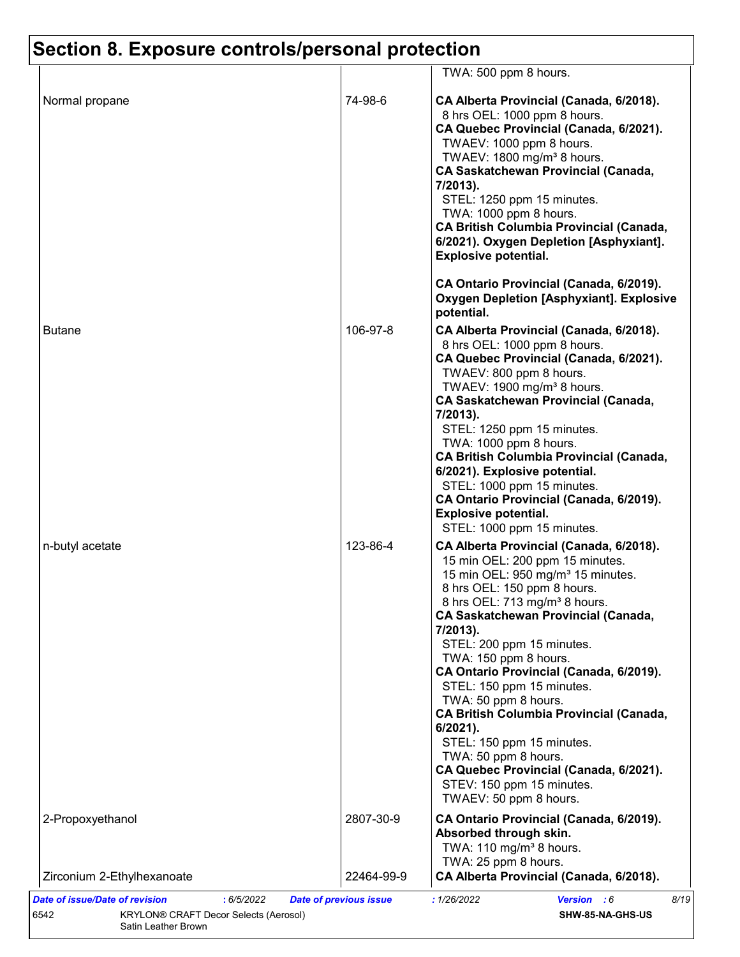|                  |            | TWA: 500 ppm 8 hours.                                                                                                                                                                                                                                                                                                                                                                                                                                                                                                                                                                                                                       |
|------------------|------------|---------------------------------------------------------------------------------------------------------------------------------------------------------------------------------------------------------------------------------------------------------------------------------------------------------------------------------------------------------------------------------------------------------------------------------------------------------------------------------------------------------------------------------------------------------------------------------------------------------------------------------------------|
| Normal propane   | 74-98-6    | CA Alberta Provincial (Canada, 6/2018).<br>8 hrs OEL: 1000 ppm 8 hours.<br>CA Quebec Provincial (Canada, 6/2021).<br>TWAEV: 1000 ppm 8 hours.<br>TWAEV: 1800 mg/m <sup>3</sup> 8 hours.<br><b>CA Saskatchewan Provincial (Canada,</b><br>7/2013).<br>STEL: 1250 ppm 15 minutes.<br>TWA: 1000 ppm 8 hours.<br><b>CA British Columbia Provincial (Canada,</b><br>6/2021). Oxygen Depletion [Asphyxiant].<br><b>Explosive potential.</b><br>CA Ontario Provincial (Canada, 6/2019).                                                                                                                                                            |
|                  |            | <b>Oxygen Depletion [Asphyxiant]. Explosive</b><br>potential.                                                                                                                                                                                                                                                                                                                                                                                                                                                                                                                                                                               |
| <b>Butane</b>    | 106-97-8   | CA Alberta Provincial (Canada, 6/2018).<br>8 hrs OEL: 1000 ppm 8 hours.<br>CA Quebec Provincial (Canada, 6/2021).<br>TWAEV: 800 ppm 8 hours.<br>TWAEV: 1900 mg/m <sup>3</sup> 8 hours.<br><b>CA Saskatchewan Provincial (Canada,</b><br>7/2013).<br>STEL: 1250 ppm 15 minutes.<br>TWA: 1000 ppm 8 hours.<br><b>CA British Columbia Provincial (Canada,</b><br>6/2021). Explosive potential.<br>STEL: 1000 ppm 15 minutes.<br>CA Ontario Provincial (Canada, 6/2019).<br><b>Explosive potential.</b><br>STEL: 1000 ppm 15 minutes.                                                                                                           |
| n-butyl acetate  | 123-86-4   | CA Alberta Provincial (Canada, 6/2018).<br>15 min OEL: 200 ppm 15 minutes.<br>15 min OEL: 950 mg/m <sup>3</sup> 15 minutes.<br>8 hrs OEL: 150 ppm 8 hours.<br>8 hrs OEL: 713 mg/m <sup>3</sup> 8 hours.<br><b>CA Saskatchewan Provincial (Canada,</b><br>7/2013).<br>STEL: 200 ppm 15 minutes.<br>TWA: 150 ppm 8 hours.<br>CA Ontario Provincial (Canada, 6/2019).<br>STEL: 150 ppm 15 minutes.<br>TWA: 50 ppm 8 hours.<br><b>CA British Columbia Provincial (Canada,</b><br>6/2021).<br>STEL: 150 ppm 15 minutes.<br>TWA: 50 ppm 8 hours.<br>CA Quebec Provincial (Canada, 6/2021).<br>STEV: 150 ppm 15 minutes.<br>TWAEV: 50 ppm 8 hours. |
| 2-Propoxyethanol | 2807-30-9  | CA Ontario Provincial (Canada, 6/2019).<br>Absorbed through skin.<br>TWA: 110 mg/m <sup>3</sup> 8 hours.                                                                                                                                                                                                                                                                                                                                                                                                                                                                                                                                    |
|                  | 22464-99-9 | TWA: 25 ppm 8 hours.<br>CA Alberta Provincial (Canada, 6/2018).                                                                                                                                                                                                                                                                                                                                                                                                                                                                                                                                                                             |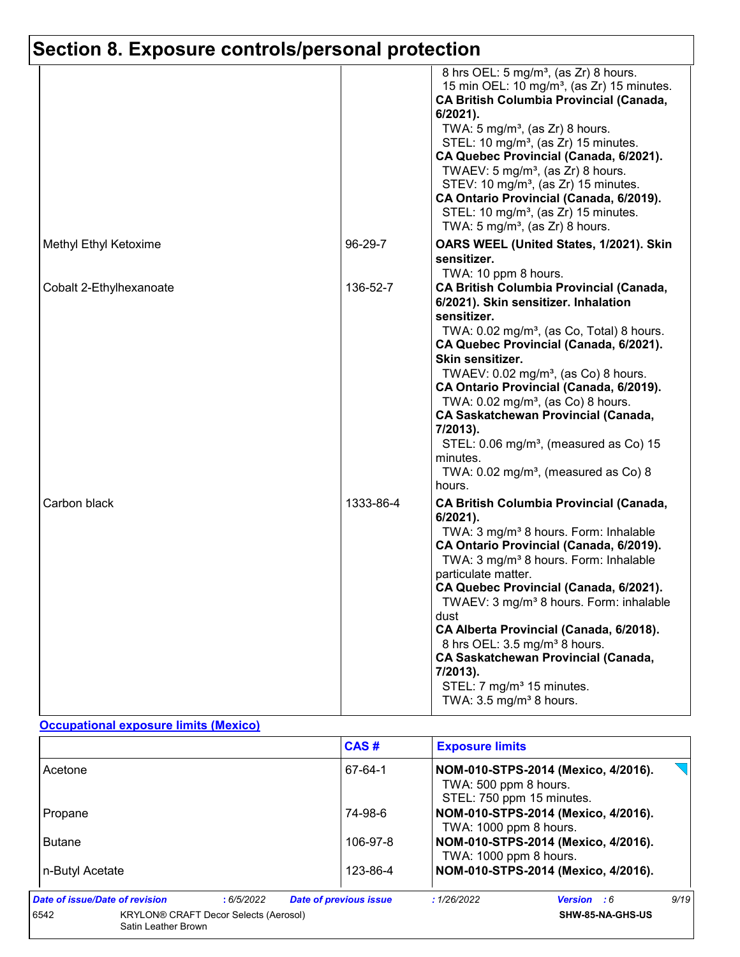|                         |           | 8 hrs OEL: 5 mg/m <sup>3</sup> , (as Zr) 8 hours.<br>15 min OEL: 10 mg/m <sup>3</sup> , (as Zr) 15 minutes.<br>CA British Columbia Provincial (Canada,<br>6/2021).<br>TWA: $5 \text{ mg/m}^3$ , (as Zr) 8 hours.<br>STEL: 10 mg/m <sup>3</sup> , (as Zr) 15 minutes.<br>CA Quebec Provincial (Canada, 6/2021).<br>TWAEV: 5 mg/m <sup>3</sup> , (as $Zr$ ) 8 hours.<br>STEV: 10 mg/m <sup>3</sup> , (as Zr) 15 minutes.<br>CA Ontario Provincial (Canada, 6/2019).<br>STEL: 10 mg/m <sup>3</sup> , (as Zr) 15 minutes.<br>TWA: $5 \text{ mg/m}^3$ , (as Zr) 8 hours.       |
|-------------------------|-----------|---------------------------------------------------------------------------------------------------------------------------------------------------------------------------------------------------------------------------------------------------------------------------------------------------------------------------------------------------------------------------------------------------------------------------------------------------------------------------------------------------------------------------------------------------------------------------|
| Methyl Ethyl Ketoxime   | 96-29-7   | OARS WEEL (United States, 1/2021). Skin<br>sensitizer.<br>TWA: 10 ppm 8 hours.                                                                                                                                                                                                                                                                                                                                                                                                                                                                                            |
| Cobalt 2-Ethylhexanoate | 136-52-7  | <b>CA British Columbia Provincial (Canada,</b><br>6/2021). Skin sensitizer. Inhalation<br>sensitizer.<br>TWA: 0.02 mg/m <sup>3</sup> , (as Co, Total) 8 hours.<br>CA Quebec Provincial (Canada, 6/2021).<br>Skin sensitizer.<br>TWAEV: $0.02$ mg/m <sup>3</sup> , (as Co) 8 hours.<br>CA Ontario Provincial (Canada, 6/2019).<br>TWA: 0.02 mg/m <sup>3</sup> , (as Co) 8 hours.<br>CA Saskatchewan Provincial (Canada,<br>7/2013).<br>STEL: 0.06 mg/m <sup>3</sup> , (measured as Co) 15<br>minutes.<br>TWA: $0.02$ mg/m <sup>3</sup> , (measured as Co) 8<br>hours.      |
| Carbon black            | 1333-86-4 | <b>CA British Columbia Provincial (Canada,</b><br>6/2021).<br>TWA: 3 mg/m <sup>3</sup> 8 hours. Form: Inhalable<br>CA Ontario Provincial (Canada, 6/2019).<br>TWA: 3 mg/m <sup>3</sup> 8 hours. Form: Inhalable<br>particulate matter.<br>CA Quebec Provincial (Canada, 6/2021).<br>TWAEV: 3 mg/m <sup>3</sup> 8 hours. Form: inhalable<br>dust<br>CA Alberta Provincial (Canada, 6/2018).<br>8 hrs OEL: 3.5 mg/m <sup>3</sup> 8 hours.<br>CA Saskatchewan Provincial (Canada,<br>7/2013).<br>STEL: 7 mg/m <sup>3</sup> 15 minutes.<br>TWA: $3.5 \text{ mg/m}^3$ 8 hours. |

#### **Occupational exposure limits (Mexico)**

|                                |                                              | CAS#                          | <b>Exposure limits</b>                             |                                     |      |
|--------------------------------|----------------------------------------------|-------------------------------|----------------------------------------------------|-------------------------------------|------|
| Acetone                        |                                              | 67-64-1                       | TWA: 500 ppm 8 hours.<br>STEL: 750 ppm 15 minutes. | NOM-010-STPS-2014 (Mexico, 4/2016). |      |
| Propane                        |                                              | 74-98-6                       | TWA: 1000 ppm 8 hours.                             | NOM-010-STPS-2014 (Mexico, 4/2016). |      |
| <b>Butane</b>                  |                                              | 106-97-8                      | TWA: 1000 ppm 8 hours.                             | NOM-010-STPS-2014 (Mexico, 4/2016). |      |
| n-Butyl Acetate                |                                              | 123-86-4                      |                                                    | NOM-010-STPS-2014 (Mexico, 4/2016). |      |
| Date of issue/Date of revision | :6/5/2022                                    | <b>Date of previous issue</b> | : 1/26/2022                                        | <b>Version</b> : 6                  | 9/19 |
| 6542<br>Satin Leather Brown    | <b>KRYLON® CRAFT Decor Selects (Aerosol)</b> |                               |                                                    | SHW-85-NA-GHS-US                    |      |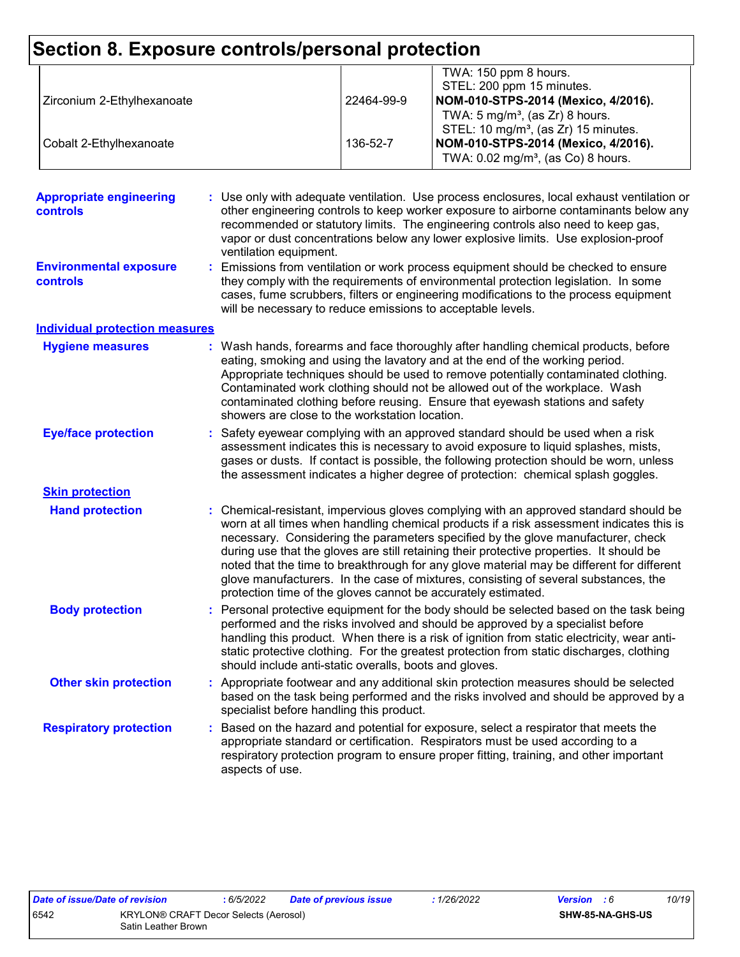| Section 8. Exposure controls/personal protection |                                                                                                                                                                                                                                                                                                                                                                                                                              |            |                                                                                                                                                                                                                                                                                                                                                                                                                                                                                                                                                                                                                        |  |
|--------------------------------------------------|------------------------------------------------------------------------------------------------------------------------------------------------------------------------------------------------------------------------------------------------------------------------------------------------------------------------------------------------------------------------------------------------------------------------------|------------|------------------------------------------------------------------------------------------------------------------------------------------------------------------------------------------------------------------------------------------------------------------------------------------------------------------------------------------------------------------------------------------------------------------------------------------------------------------------------------------------------------------------------------------------------------------------------------------------------------------------|--|
| Zirconium 2-Ethylhexanoate                       |                                                                                                                                                                                                                                                                                                                                                                                                                              | 22464-99-9 | TWA: 150 ppm 8 hours.<br>STEL: 200 ppm 15 minutes.<br>NOM-010-STPS-2014 (Mexico, 4/2016).                                                                                                                                                                                                                                                                                                                                                                                                                                                                                                                              |  |
| Cobalt 2-Ethylhexanoate                          |                                                                                                                                                                                                                                                                                                                                                                                                                              | 136-52-7   | TWA: $5 \text{ mg/m}^3$ , (as Zr) 8 hours.<br>STEL: 10 mg/m <sup>3</sup> , (as Zr) 15 minutes.<br>NOM-010-STPS-2014 (Mexico, 4/2016).<br>TWA: 0.02 mg/m <sup>3</sup> , (as Co) 8 hours.                                                                                                                                                                                                                                                                                                                                                                                                                                |  |
|                                                  |                                                                                                                                                                                                                                                                                                                                                                                                                              |            |                                                                                                                                                                                                                                                                                                                                                                                                                                                                                                                                                                                                                        |  |
| <b>Appropriate engineering</b><br>controls       | ventilation equipment.                                                                                                                                                                                                                                                                                                                                                                                                       |            | : Use only with adequate ventilation. Use process enclosures, local exhaust ventilation or<br>other engineering controls to keep worker exposure to airborne contaminants below any<br>recommended or statutory limits. The engineering controls also need to keep gas,<br>vapor or dust concentrations below any lower explosive limits. Use explosion-proof                                                                                                                                                                                                                                                          |  |
| <b>Environmental exposure</b><br>controls        | Emissions from ventilation or work process equipment should be checked to ensure<br>they comply with the requirements of environmental protection legislation. In some<br>cases, fume scrubbers, filters or engineering modifications to the process equipment<br>will be necessary to reduce emissions to acceptable levels.                                                                                                |            |                                                                                                                                                                                                                                                                                                                                                                                                                                                                                                                                                                                                                        |  |
| <b>Individual protection measures</b>            |                                                                                                                                                                                                                                                                                                                                                                                                                              |            |                                                                                                                                                                                                                                                                                                                                                                                                                                                                                                                                                                                                                        |  |
| <b>Hygiene measures</b>                          | showers are close to the workstation location.                                                                                                                                                                                                                                                                                                                                                                               |            | : Wash hands, forearms and face thoroughly after handling chemical products, before<br>eating, smoking and using the lavatory and at the end of the working period.<br>Appropriate techniques should be used to remove potentially contaminated clothing.<br>Contaminated work clothing should not be allowed out of the workplace. Wash<br>contaminated clothing before reusing. Ensure that eyewash stations and safety                                                                                                                                                                                              |  |
| <b>Eye/face protection</b>                       |                                                                                                                                                                                                                                                                                                                                                                                                                              |            | Safety eyewear complying with an approved standard should be used when a risk<br>assessment indicates this is necessary to avoid exposure to liquid splashes, mists,<br>gases or dusts. If contact is possible, the following protection should be worn, unless<br>the assessment indicates a higher degree of protection: chemical splash goggles.                                                                                                                                                                                                                                                                    |  |
| <b>Skin protection</b>                           |                                                                                                                                                                                                                                                                                                                                                                                                                              |            |                                                                                                                                                                                                                                                                                                                                                                                                                                                                                                                                                                                                                        |  |
| <b>Hand protection</b>                           |                                                                                                                                                                                                                                                                                                                                                                                                                              |            | : Chemical-resistant, impervious gloves complying with an approved standard should be<br>worn at all times when handling chemical products if a risk assessment indicates this is<br>necessary. Considering the parameters specified by the glove manufacturer, check<br>during use that the gloves are still retaining their protective properties. It should be<br>noted that the time to breakthrough for any glove material may be different for different<br>glove manufacturers. In the case of mixtures, consisting of several substances, the<br>protection time of the gloves cannot be accurately estimated. |  |
| <b>Body protection</b>                           | Personal protective equipment for the body should be selected based on the task being<br>performed and the risks involved and should be approved by a specialist before<br>handling this product. When there is a risk of ignition from static electricity, wear anti-<br>static protective clothing. For the greatest protection from static discharges, clothing<br>should include anti-static overalls, boots and gloves. |            |                                                                                                                                                                                                                                                                                                                                                                                                                                                                                                                                                                                                                        |  |
| <b>Other skin protection</b>                     | specialist before handling this product.                                                                                                                                                                                                                                                                                                                                                                                     |            | Appropriate footwear and any additional skin protection measures should be selected<br>based on the task being performed and the risks involved and should be approved by a                                                                                                                                                                                                                                                                                                                                                                                                                                            |  |
| <b>Respiratory protection</b>                    | aspects of use.                                                                                                                                                                                                                                                                                                                                                                                                              |            | Based on the hazard and potential for exposure, select a respirator that meets the<br>appropriate standard or certification. Respirators must be used according to a<br>respiratory protection program to ensure proper fitting, training, and other important                                                                                                                                                                                                                                                                                                                                                         |  |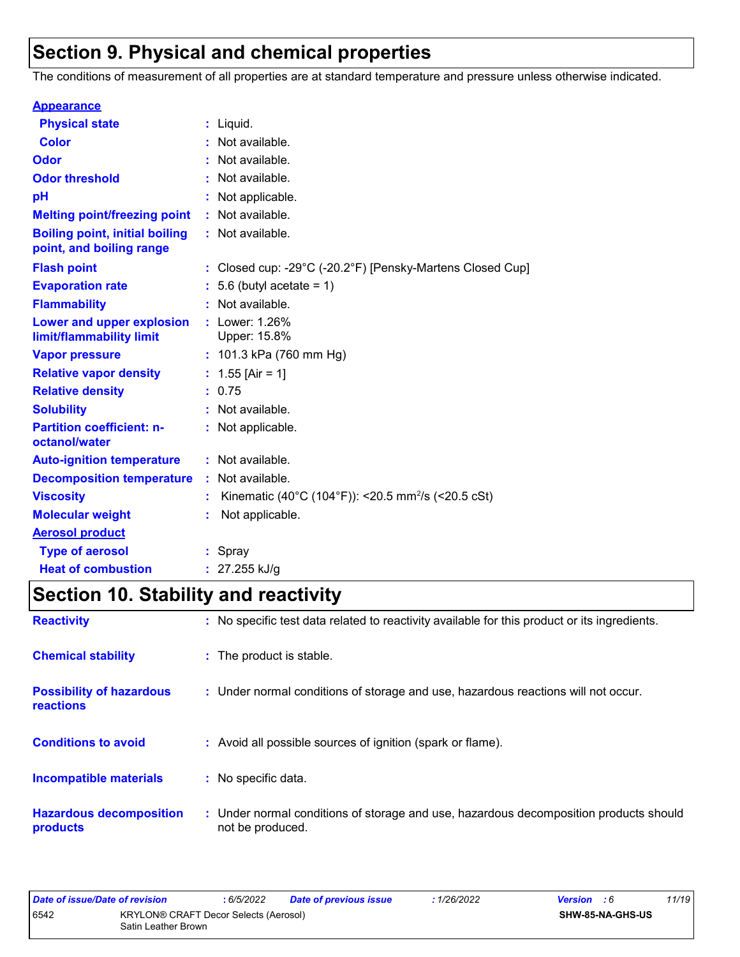# **Section 9. Physical and chemical properties**

The conditions of measurement of all properties are at standard temperature and pressure unless otherwise indicated.

| <b>Appearance</b>                                                 |                                                                |
|-------------------------------------------------------------------|----------------------------------------------------------------|
| <b>Physical state</b>                                             | $:$ Liquid.                                                    |
| <b>Color</b>                                                      | Not available.                                                 |
| Odor                                                              | : Not available.                                               |
| <b>Odor threshold</b>                                             | Not available.                                                 |
| pH                                                                | Not applicable.                                                |
| <b>Melting point/freezing point</b>                               | Not available.                                                 |
| <b>Boiling point, initial boiling</b><br>point, and boiling range | : Not available.                                               |
| <b>Flash point</b>                                                | : Closed cup: -29°C (-20.2°F) [Pensky-Martens Closed Cup]      |
| <b>Evaporation rate</b>                                           | $: 5.6$ (butyl acetate = 1)                                    |
| <b>Flammability</b>                                               | Not available.                                                 |
| Lower and upper explosion<br>limit/flammability limit             | : Lower: 1.26%<br>Upper: 15.8%                                 |
| <b>Vapor pressure</b>                                             | : $101.3$ kPa (760 mm Hg)                                      |
| <b>Relative vapor density</b>                                     | : $1.55$ [Air = 1]                                             |
| <b>Relative density</b>                                           | : 0.75                                                         |
| <b>Solubility</b>                                                 | : Not available.                                               |
| <b>Partition coefficient: n-</b><br>octanol/water                 | : Not applicable.                                              |
| <b>Auto-ignition temperature</b>                                  | : Not available.                                               |
| <b>Decomposition temperature</b>                                  | Not available.                                                 |
| <b>Viscosity</b>                                                  | Kinematic (40°C (104°F)): <20.5 mm <sup>2</sup> /s (<20.5 cSt) |
| <b>Molecular weight</b>                                           | Not applicable.                                                |
| <b>Aerosol product</b>                                            |                                                                |
| <b>Type of aerosol</b>                                            | : Spray                                                        |
| <b>Heat of combustion</b>                                         | : $27.255$ kJ/g                                                |

# **Section 10. Stability and reactivity**

| <b>Reactivity</b>                                   | : No specific test data related to reactivity available for this product or its ingredients.              |
|-----------------------------------------------------|-----------------------------------------------------------------------------------------------------------|
| <b>Chemical stability</b>                           | : The product is stable.                                                                                  |
| <b>Possibility of hazardous</b><br><b>reactions</b> | : Under normal conditions of storage and use, hazardous reactions will not occur.                         |
| <b>Conditions to avoid</b>                          | : Avoid all possible sources of ignition (spark or flame).                                                |
| <b>Incompatible materials</b>                       | : No specific data.                                                                                       |
| <b>Hazardous decomposition</b><br>products          | : Under normal conditions of storage and use, hazardous decomposition products should<br>not be produced. |

| Date of issue/Date of revision |                                                              | : 6/5/2022 | <b>Date of previous issue</b> | : 1/26/2022      | <b>Version</b> : 6 | 11/19 |
|--------------------------------|--------------------------------------------------------------|------------|-------------------------------|------------------|--------------------|-------|
| 6542                           | KRYLON® CRAFT Decor Selects (Aerosol)<br>Satin Leather Brown |            |                               | SHW-85-NA-GHS-US |                    |       |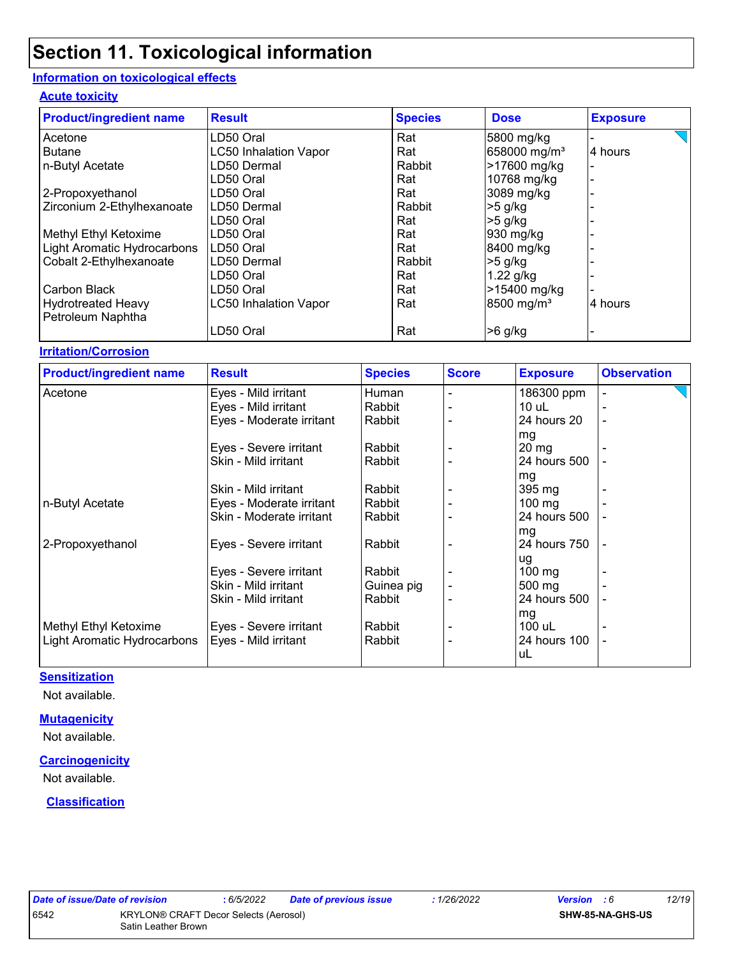#### **Information on toxicological effects**

#### **Acute toxicity**

| <b>Product/ingredient name</b> | <b>Result</b>                | <b>Species</b> | <b>Dose</b>              | <b>Exposure</b> |
|--------------------------------|------------------------------|----------------|--------------------------|-----------------|
| Acetone                        | LD50 Oral                    | Rat            | 5800 mg/kg               |                 |
| <b>Butane</b>                  | <b>LC50 Inhalation Vapor</b> | Rat            | 658000 mg/m <sup>3</sup> | 4 hours         |
| n-Butyl Acetate                | LD50 Dermal                  | Rabbit         | >17600 mg/kg             |                 |
|                                | LD50 Oral                    | Rat            | 10768 mg/kg              |                 |
| 2-Propoxyethanol               | LD50 Oral                    | Rat            | 3089 mg/kg               |                 |
| Zirconium 2-Ethylhexanoate     | ILD50 Dermal                 | Rabbit         | $>5$ g/kg                |                 |
|                                | LD50 Oral                    | Rat            | $>5$ g/kg                |                 |
| Methyl Ethyl Ketoxime          | LD50 Oral                    | Rat            | 930 mg/kg                |                 |
| Light Aromatic Hydrocarbons    | ILD50 Oral                   | Rat            | 8400 mg/kg               |                 |
| Cobalt 2-Ethylhexanoate        | LD50 Dermal                  | Rabbit         | $>5$ g/kg                |                 |
|                                | LD50 Oral                    | Rat            | $1.22$ g/kg              |                 |
| Carbon Black                   | LD50 Oral                    | Rat            | >15400 mg/kg             |                 |
| <b>Hydrotreated Heavy</b>      | <b>LC50 Inhalation Vapor</b> | Rat            | 8500 mg/m <sup>3</sup>   | 4 hours         |
| Petroleum Naphtha              | LD50 Oral                    | Rat            | $>6$ g/kg                |                 |

#### **Irritation/Corrosion**

| <b>Product/ingredient name</b> | <b>Result</b>            | <b>Species</b> | <b>Score</b> | <b>Exposure</b>  | <b>Observation</b> |
|--------------------------------|--------------------------|----------------|--------------|------------------|--------------------|
| Acetone                        | Eyes - Mild irritant     | Human          |              | 186300 ppm       |                    |
|                                | Eyes - Mild irritant     | Rabbit         |              | $10$ uL          |                    |
|                                | Eyes - Moderate irritant | Rabbit         |              | 24 hours 20      | $\blacksquare$     |
|                                |                          |                |              | mg               |                    |
|                                | Eyes - Severe irritant   | Rabbit         |              | $20 \, mg$       |                    |
|                                | Skin - Mild irritant     | Rabbit         |              | 24 hours 500     |                    |
|                                |                          |                |              | mg               |                    |
|                                | Skin - Mild irritant     | Rabbit         |              | 395 mg           |                    |
| n-Butyl Acetate                | Eyes - Moderate irritant | Rabbit         |              | $100 \text{ mg}$ |                    |
|                                | Skin - Moderate irritant | l Rabbit       |              | 24 hours 500     |                    |
|                                |                          |                |              | mg               |                    |
| 2-Propoxyethanol               | Eyes - Severe irritant   | Rabbit         |              | 24 hours 750     |                    |
|                                |                          |                |              | ug               |                    |
|                                | Eyes - Severe irritant   | Rabbit         |              | $100 \text{ mg}$ |                    |
|                                | Skin - Mild irritant     | Guinea pig     |              | $500 \text{ mg}$ |                    |
|                                | Skin - Mild irritant     | Rabbit         |              | 24 hours 500     |                    |
|                                |                          |                |              | mg               |                    |
| Methyl Ethyl Ketoxime          | Eyes - Severe irritant   | Rabbit         |              | 100 uL           |                    |
| Light Aromatic Hydrocarbons    | Eyes - Mild irritant     | Rabbit         |              | 24 hours 100     |                    |
|                                |                          |                |              | uL               |                    |

#### **Sensitization**

Not available.

#### **Mutagenicity**

Not available.

#### **Carcinogenicity**

Not available.

#### **Classification**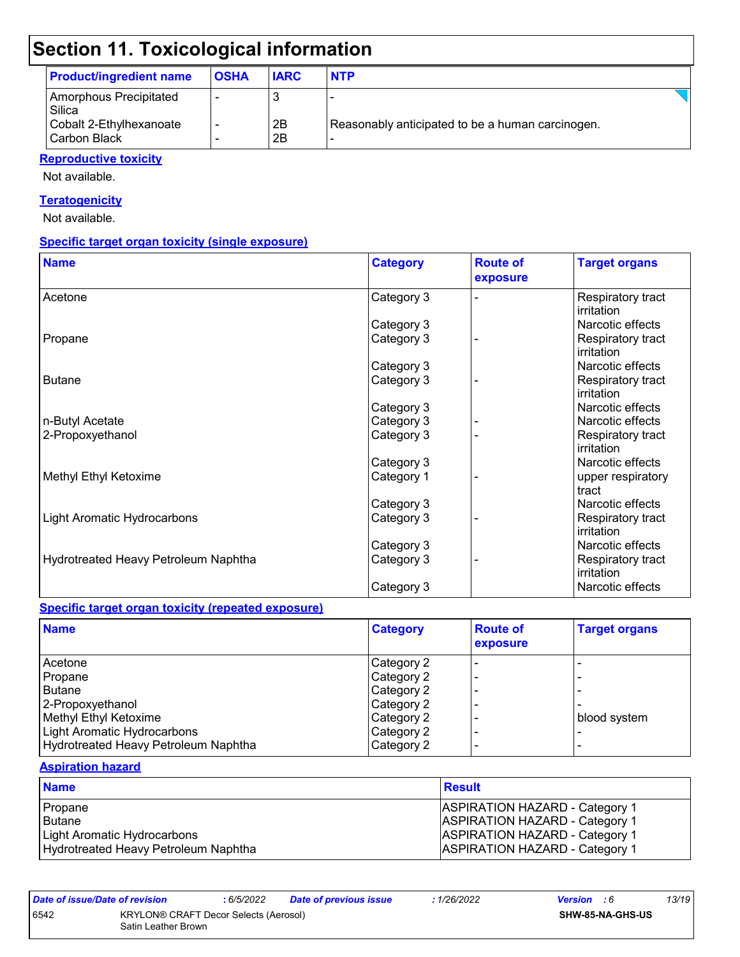| <b>Product/ingredient name</b>          | <b>OSHA</b> | <b>IARC</b> | <b>NTP</b>                                       |  |
|-----------------------------------------|-------------|-------------|--------------------------------------------------|--|
| Amorphous Precipitated<br>Silica        |             |             |                                                  |  |
| Cobalt 2-Ethylhexanoate<br>Carbon Black |             | 2B<br>2B    | Reasonably anticipated to be a human carcinogen. |  |

#### **Reproductive toxicity**

Not available.

#### **Teratogenicity**

Not available.

#### **Specific target organ toxicity (single exposure)**

| <b>Name</b>                          | <b>Category</b> | <b>Route of</b><br>exposure | <b>Target organs</b>            |
|--------------------------------------|-----------------|-----------------------------|---------------------------------|
| Acetone                              | Category 3      |                             | Respiratory tract<br>irritation |
|                                      | Category 3      |                             | Narcotic effects                |
| Propane                              | Category 3      |                             | Respiratory tract<br>irritation |
|                                      | Category 3      |                             | Narcotic effects                |
| <b>Butane</b>                        | Category 3      |                             | Respiratory tract<br>irritation |
|                                      | Category 3      |                             | Narcotic effects                |
| n-Butyl Acetate                      | Category 3      |                             | Narcotic effects                |
| 2-Propoxyethanol                     | Category 3      |                             | Respiratory tract<br>irritation |
|                                      | Category 3      |                             | Narcotic effects                |
| Methyl Ethyl Ketoxime                | Category 1      |                             | upper respiratory<br>tract      |
|                                      | Category 3      |                             | Narcotic effects                |
| Light Aromatic Hydrocarbons          | Category 3      |                             | Respiratory tract<br>irritation |
|                                      | Category 3      |                             | Narcotic effects                |
| Hydrotreated Heavy Petroleum Naphtha | Category 3      |                             | Respiratory tract<br>irritation |
|                                      | Category 3      |                             | Narcotic effects                |

#### **Specific target organ toxicity (repeated exposure)**

| <b>Name</b>                          | <b>Category</b> | <b>Route of</b><br>exposure | <b>Target organs</b> |
|--------------------------------------|-----------------|-----------------------------|----------------------|
| Acetone                              | Category 2      |                             |                      |
| Propane                              | Category 2      |                             |                      |
| l Butane                             | Category 2      |                             |                      |
| 2-Propoxyethanol                     | Category 2      |                             |                      |
| Methyl Ethyl Ketoxime                | Category 2      |                             | blood system         |
| Light Aromatic Hydrocarbons          | Category 2      |                             |                      |
| Hydrotreated Heavy Petroleum Naphtha | Category 2      |                             |                      |

#### **Aspiration hazard**

| <b>Name</b>                          | Result                                |
|--------------------------------------|---------------------------------------|
| Propane                              | <b>ASPIRATION HAZARD - Category 1</b> |
| Butane                               | <b>ASPIRATION HAZARD - Category 1</b> |
| Light Aromatic Hydrocarbons          | <b>ASPIRATION HAZARD - Category 1</b> |
| Hydrotreated Heavy Petroleum Naphtha | <b>ASPIRATION HAZARD - Category 1</b> |

*Date of issue/Date of revision* **:** *6/5/2022 Date of previous issue : 1/26/2022 Version : 6 13/19* 6542 KRYLON® CRAFT Decor Selects (Aerosol) Satin Leather Brown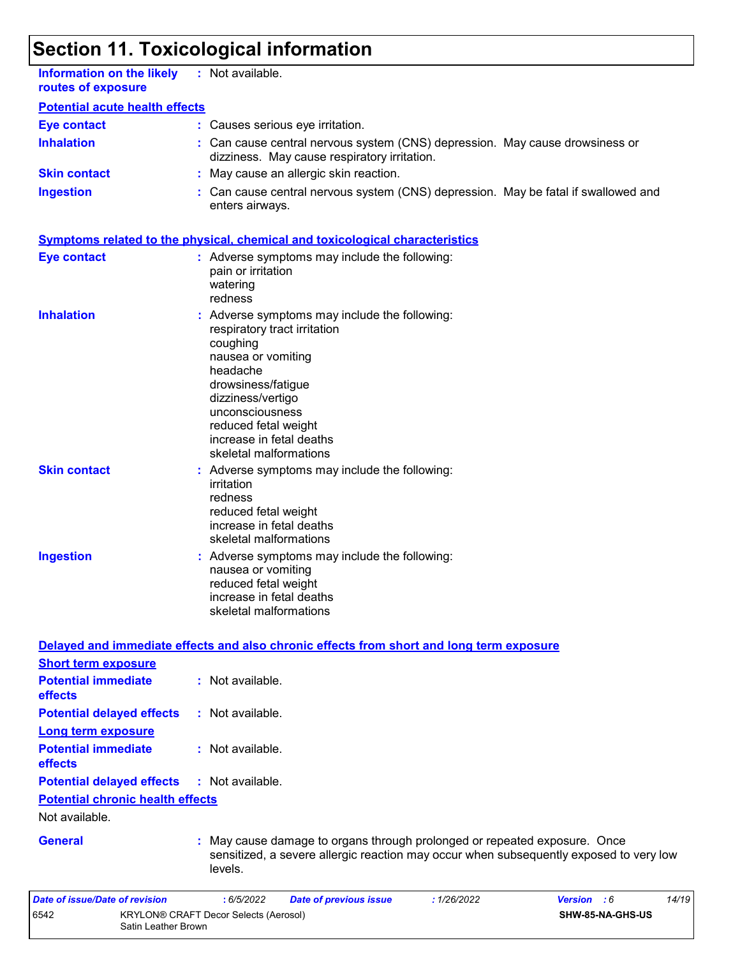| <b>Information on the likely</b><br>routes of exposure | : Not available.                                                                                                                                                                                                                                                      |
|--------------------------------------------------------|-----------------------------------------------------------------------------------------------------------------------------------------------------------------------------------------------------------------------------------------------------------------------|
| <b>Potential acute health effects</b>                  |                                                                                                                                                                                                                                                                       |
| <b>Eye contact</b>                                     | : Causes serious eye irritation.                                                                                                                                                                                                                                      |
| <b>Inhalation</b>                                      | Can cause central nervous system (CNS) depression. May cause drowsiness or<br>dizziness. May cause respiratory irritation.                                                                                                                                            |
| <b>Skin contact</b>                                    | : May cause an allergic skin reaction.                                                                                                                                                                                                                                |
| <b>Ingestion</b>                                       | Can cause central nervous system (CNS) depression. May be fatal if swallowed and<br>enters airways.                                                                                                                                                                   |
|                                                        | <b>Symptoms related to the physical, chemical and toxicological characteristics</b>                                                                                                                                                                                   |
| <b>Eye contact</b>                                     | : Adverse symptoms may include the following:<br>pain or irritation<br>watering<br>redness                                                                                                                                                                            |
| <b>Inhalation</b>                                      | Adverse symptoms may include the following:<br>respiratory tract irritation<br>coughing<br>nausea or vomiting<br>headache<br>drowsiness/fatigue<br>dizziness/vertigo<br>unconsciousness<br>reduced fetal weight<br>increase in fetal deaths<br>skeletal malformations |
| <b>Skin contact</b>                                    | : Adverse symptoms may include the following:<br>irritation<br>redness<br>reduced fetal weight<br>increase in fetal deaths<br>skeletal malformations                                                                                                                  |
| <b>Ingestion</b>                                       | Adverse symptoms may include the following:<br>nausea or vomiting<br>reduced fetal weight<br>increase in fetal deaths<br>skeletal malformations                                                                                                                       |
|                                                        | Delayed and immediate effects and also chronic effects from short and long term exposure                                                                                                                                                                              |
| <b>Short term exposure</b>                             |                                                                                                                                                                                                                                                                       |
| <b>Potential immediate</b><br>effects                  | : Not available.                                                                                                                                                                                                                                                      |
| <b>Potential delayed effects</b>                       | : Not available.                                                                                                                                                                                                                                                      |
| <b>Long term exposure</b>                              |                                                                                                                                                                                                                                                                       |
| <b>Potential immediate</b><br>effects                  | : Not available.                                                                                                                                                                                                                                                      |
| <b>Potential delayed effects</b>                       | : Not available.                                                                                                                                                                                                                                                      |
| <b>Potential chronic health effects</b>                |                                                                                                                                                                                                                                                                       |
| Not available.                                         |                                                                                                                                                                                                                                                                       |
| <b>General</b>                                         | May cause damage to organs through prolonged or repeated exposure. Once<br>sensitized, a severe allergic reaction may occur when subsequently exposed to very low<br>levels.                                                                                          |
| Date of issue/Date of revision                         | : 6/5/2022<br>: 1/26/2022<br>Version : 6<br>14/19<br><b>Date of previous issue</b>                                                                                                                                                                                    |
| 6542<br>Satin Leather Brown                            | KRYLON® CRAFT Decor Selects (Aerosol)<br>SHW-85-NA-GHS-US                                                                                                                                                                                                             |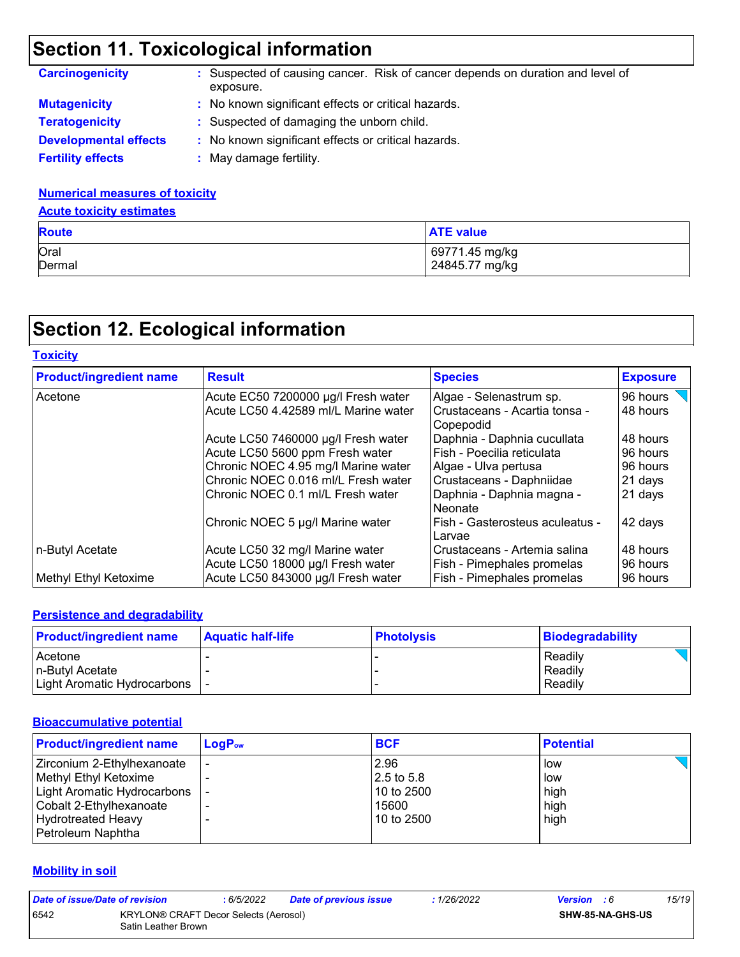| <b>Carcinogenicity</b>       | : Suspected of causing cancer. Risk of cancer depends on duration and level of<br>exposure. |  |  |  |
|------------------------------|---------------------------------------------------------------------------------------------|--|--|--|
| <b>Mutagenicity</b>          | : No known significant effects or critical hazards.                                         |  |  |  |
| <b>Teratogenicity</b>        | : Suspected of damaging the unborn child.                                                   |  |  |  |
| <b>Developmental effects</b> | : No known significant effects or critical hazards.                                         |  |  |  |
| <b>Fertility effects</b>     | May damage fertility.                                                                       |  |  |  |

#### **Numerical measures of toxicity**

#### **Acute toxicity estimates**

| <b>Route</b> | <b>ATE value</b> |
|--------------|------------------|
| Oral         | 69771.45 mg/kg   |
| Dermal       | 24845.77 mg/kg   |

# **Section 12. Ecological information**

| <b>Toxicity</b>                |                                                                      |                                                            |                      |
|--------------------------------|----------------------------------------------------------------------|------------------------------------------------------------|----------------------|
| <b>Product/ingredient name</b> | <b>Result</b>                                                        | <b>Species</b>                                             | <b>Exposure</b>      |
| Acetone                        | Acute EC50 7200000 µg/l Fresh water                                  | Algae - Selenastrum sp.                                    | 96 hours             |
|                                | Acute LC50 4.42589 ml/L Marine water                                 | l Crustaceans - Acartia tonsa -<br>l Copepodid             | 48 hours             |
|                                | Acute LC50 7460000 µg/l Fresh water                                  | Daphnia - Daphnia cucullata                                | 48 hours             |
|                                | Acute LC50 5600 ppm Fresh water                                      | l Fish - Poecilia reticulata                               | 96 hours             |
|                                | Chronic NOEC 4.95 mg/l Marine water                                  | Algae - Ulva pertusa                                       | 96 hours             |
|                                | Chronic NOEC 0.016 ml/L Fresh water                                  | Crustaceans - Daphniidae                                   | 21 days              |
|                                | Chronic NOEC 0.1 ml/L Fresh water                                    | Daphnia - Daphnia magna -<br><b>Neonate</b>                | 21 days              |
|                                | Chronic NOEC 5 µg/l Marine water                                     | Fish - Gasterosteus aculeatus -<br>Larvae                  | 42 days              |
| n-Butyl Acetate                | Acute LC50 32 mg/l Marine water<br>Acute LC50 18000 µg/l Fresh water | Crustaceans - Artemia salina<br>Fish - Pimephales promelas | 48 hours<br>96 hours |
| Methyl Ethyl Ketoxime          | Acute LC50 843000 µg/l Fresh water                                   | <b>Fish - Pimephales promelas</b>                          | 96 hours             |

#### **Persistence and degradability**

| <b>Product/ingredient name</b> | <b>Aquatic half-life</b> | Photolysis | Biodegradability |
|--------------------------------|--------------------------|------------|------------------|
| Acetone                        |                          |            | Readily          |
| l n-Butvl Acetate              |                          |            | Readily          |
| Light Aromatic Hydrocarbons    |                          |            | Readily          |

#### **Bioaccumulative potential**

| <b>Product/ingredient name</b> | $LogP_{ow}$ | <b>BCF</b>              | <b>Potential</b> |
|--------------------------------|-------------|-------------------------|------------------|
| Zirconium 2-Ethylhexanoate     |             | 2.96                    | low              |
| Methyl Ethyl Ketoxime          |             | $ 2.5 \text{ to } 5.8 $ | low              |
| Light Aromatic Hydrocarbons    |             | 10 to 2500              | high             |
| Cobalt 2-Ethylhexanoate        |             | 15600                   | high             |
| Hydrotreated Heavy             |             | 10 to 2500              | high             |
| Petroleum Naphtha              |             |                         |                  |

#### **Mobility in soil**

| Date of issue/Date of revision |                                                              | : 6/5/2022 | <b>Date of previous issue</b> | : 1/26/2022 | <b>Version</b> : 6 | 15/19                   |
|--------------------------------|--------------------------------------------------------------|------------|-------------------------------|-------------|--------------------|-------------------------|
| 6542                           | KRYLON® CRAFT Decor Selects (Aerosol)<br>Satin Leather Brown |            |                               |             |                    | <b>SHW-85-NA-GHS-US</b> |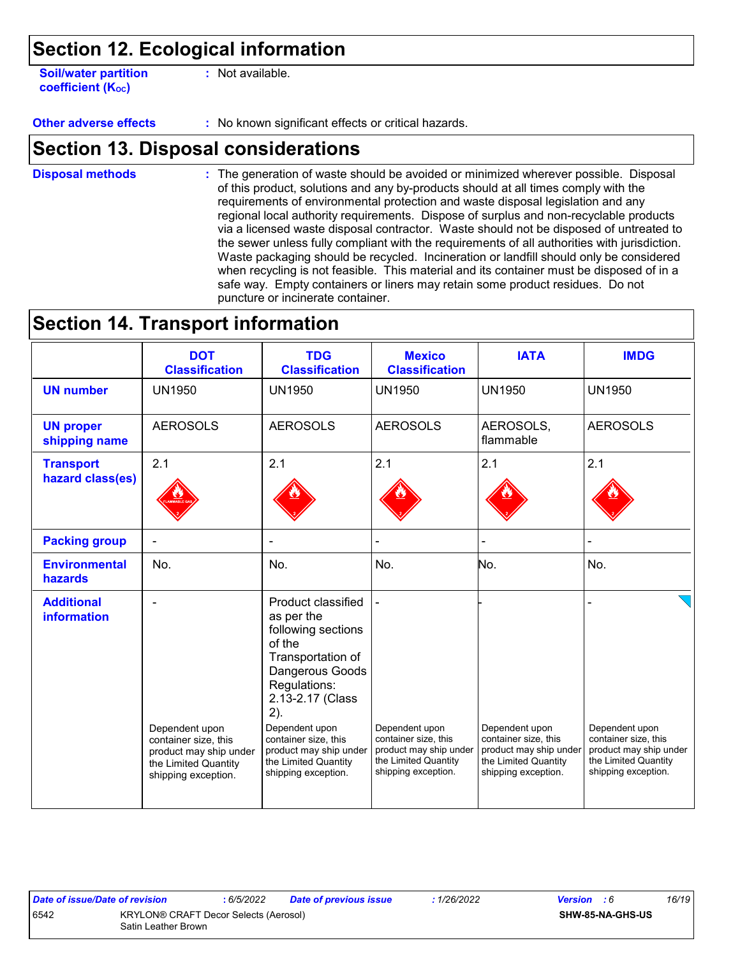**Soil/water partition coefficient (Koc)** 

**:** Not available.

**Other adverse effects** : No known significant effects or critical hazards.

### **Section 13. Disposal considerations**

The generation of waste should be avoided or minimized wherever possible. Disposal of this product, solutions and any by-products should at all times comply with the requirements of environmental protection and waste disposal legislation and any regional local authority requirements. Dispose of surplus and non-recyclable products via a licensed waste disposal contractor. Waste should not be disposed of untreated to the sewer unless fully compliant with the requirements of all authorities with jurisdiction. Waste packaging should be recycled. Incineration or landfill should only be considered when recycling is not feasible. This material and its container must be disposed of in a safe way. Empty containers or liners may retain some product residues. Do not puncture or incinerate container. **Disposal methods :**

### **Section 14. Transport information**

|                                         | <b>DOT</b><br><b>Classification</b>                                   | <b>TDG</b><br><b>Classification</b>                                                                                                                                                           | <b>Mexico</b><br><b>Classification</b>                                | <b>IATA</b>                                                           | <b>IMDG</b>                                                           |
|-----------------------------------------|-----------------------------------------------------------------------|-----------------------------------------------------------------------------------------------------------------------------------------------------------------------------------------------|-----------------------------------------------------------------------|-----------------------------------------------------------------------|-----------------------------------------------------------------------|
| <b>UN number</b>                        | <b>UN1950</b>                                                         | <b>UN1950</b>                                                                                                                                                                                 | <b>UN1950</b>                                                         | <b>UN1950</b>                                                         | <b>UN1950</b>                                                         |
| <b>UN proper</b><br>shipping name       | <b>AEROSOLS</b>                                                       | <b>AEROSOLS</b>                                                                                                                                                                               | <b>AEROSOLS</b>                                                       | AEROSOLS,<br>flammable                                                | <b>AEROSOLS</b>                                                       |
| <b>Transport</b><br>hazard class(es)    | 2.1                                                                   | 2.1                                                                                                                                                                                           | 2.1                                                                   | 2.1                                                                   | 2.1                                                                   |
| <b>Packing group</b>                    |                                                                       |                                                                                                                                                                                               |                                                                       |                                                                       |                                                                       |
| <b>Environmental</b><br>hazards         | No.                                                                   | No.                                                                                                                                                                                           | No.                                                                   | No.                                                                   | No.                                                                   |
| <b>Additional</b><br><b>information</b> | Dependent upon<br>container size, this                                | Product classified<br>as per the<br>following sections<br>of the<br>Transportation of<br>Dangerous Goods<br>Regulations:<br>2.13-2.17 (Class<br>2).<br>Dependent upon<br>container size, this | Dependent upon<br>container size, this                                | Dependent upon<br>container size, this                                | Dependent upon<br>container size, this                                |
|                                         | product may ship under<br>the Limited Quantity<br>shipping exception. | product may ship under<br>the Limited Quantity<br>shipping exception.                                                                                                                         | product may ship under<br>the Limited Quantity<br>shipping exception. | product may ship under<br>the Limited Quantity<br>shipping exception. | product may ship under<br>the Limited Quantity<br>shipping exception. |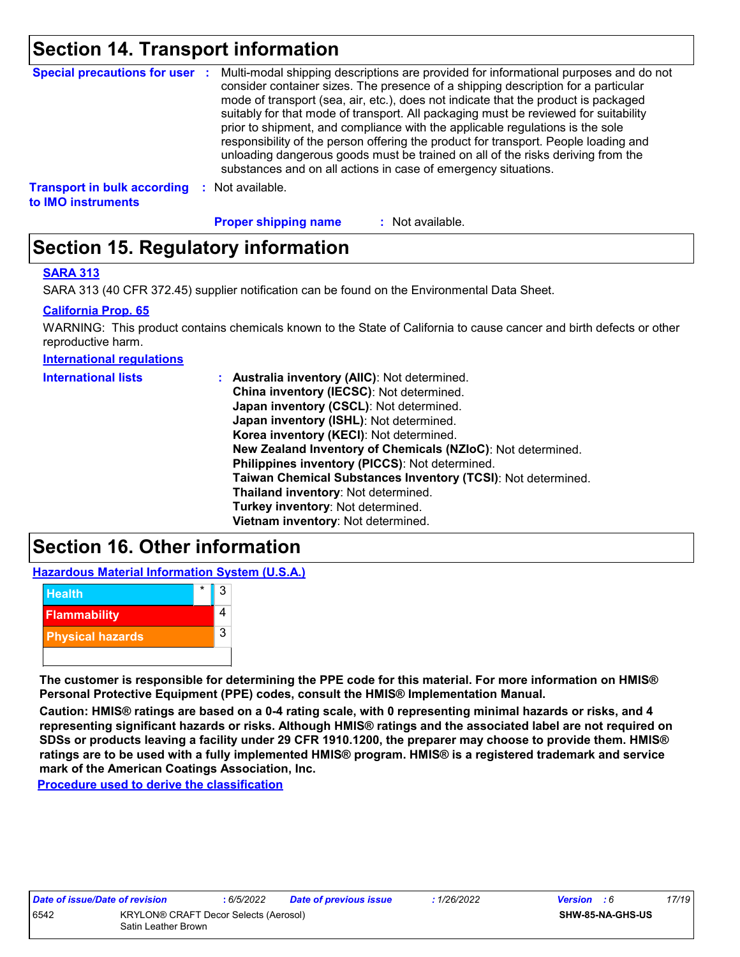## **Section 14. Transport information**

| <b>Special precautions for user :</b>                    |      | Multi-modal shipping descriptions are provided for informational purposes and do not<br>consider container sizes. The presence of a shipping description for a particular<br>mode of transport (sea, air, etc.), does not indicate that the product is packaged<br>suitably for that mode of transport. All packaging must be reviewed for suitability<br>prior to shipment, and compliance with the applicable regulations is the sole<br>responsibility of the person offering the product for transport. People loading and<br>unloading dangerous goods must be trained on all of the risks deriving from the<br>substances and on all actions in case of emergency situations. |
|----------------------------------------------------------|------|-------------------------------------------------------------------------------------------------------------------------------------------------------------------------------------------------------------------------------------------------------------------------------------------------------------------------------------------------------------------------------------------------------------------------------------------------------------------------------------------------------------------------------------------------------------------------------------------------------------------------------------------------------------------------------------|
| <b>Transport in bulk according</b><br>to IMO instruments | - 50 | Not available.                                                                                                                                                                                                                                                                                                                                                                                                                                                                                                                                                                                                                                                                      |

**Proper shipping name :**

: Not available.

# **Section 15. Regulatory information**

#### **SARA 313**

SARA 313 (40 CFR 372.45) supplier notification can be found on the Environmental Data Sheet.

#### **California Prop. 65**

WARNING: This product contains chemicals known to the State of California to cause cancer and birth defects or other reproductive harm.

**International regulations**

| <b>International lists</b> | : Australia inventory (AIIC): Not determined.<br>China inventory (IECSC): Not determined.<br>Japan inventory (CSCL): Not determined.<br>Japan inventory (ISHL): Not determined.<br>Korea inventory (KECI): Not determined.<br>New Zealand Inventory of Chemicals (NZIoC): Not determined.<br>Philippines inventory (PICCS): Not determined.<br>Taiwan Chemical Substances Inventory (TCSI): Not determined.<br>Thailand inventory: Not determined. |
|----------------------------|----------------------------------------------------------------------------------------------------------------------------------------------------------------------------------------------------------------------------------------------------------------------------------------------------------------------------------------------------------------------------------------------------------------------------------------------------|
|                            | Turkey inventory: Not determined.                                                                                                                                                                                                                                                                                                                                                                                                                  |
|                            | Vietnam inventory: Not determined.                                                                                                                                                                                                                                                                                                                                                                                                                 |

# **Section 16. Other information**

**Hazardous Material Information System (U.S.A.)**



**The customer is responsible for determining the PPE code for this material. For more information on HMIS® Personal Protective Equipment (PPE) codes, consult the HMIS® Implementation Manual.**

**Caution: HMIS® ratings are based on a 0-4 rating scale, with 0 representing minimal hazards or risks, and 4 representing significant hazards or risks. Although HMIS® ratings and the associated label are not required on SDSs or products leaving a facility under 29 CFR 1910.1200, the preparer may choose to provide them. HMIS® ratings are to be used with a fully implemented HMIS® program. HMIS® is a registered trademark and service mark of the American Coatings Association, Inc.**

**Procedure used to derive the classification**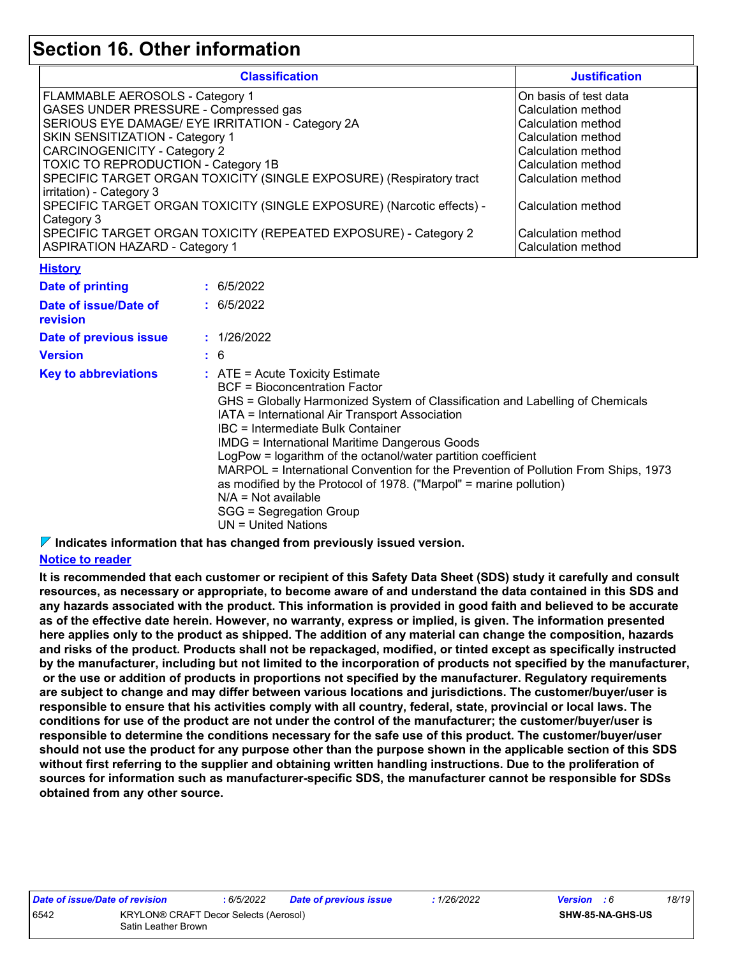### **Section 16. Other information**

| <b>Classification</b>                                                 | <b>Justification</b>  |
|-----------------------------------------------------------------------|-----------------------|
| FLAMMABLE AEROSOLS - Category 1                                       | On basis of test data |
| GASES UNDER PRESSURE - Compressed gas                                 | Calculation method    |
| SERIOUS EYE DAMAGE/ EYE IRRITATION - Category 2A                      | Calculation method    |
| SKIN SENSITIZATION - Category 1                                       | Calculation method    |
| <b>CARCINOGENICITY - Category 2</b>                                   | l Calculation method  |
| <b>TOXIC TO REPRODUCTION - Category 1B</b>                            | Calculation method    |
| SPECIFIC TARGET ORGAN TOXICITY (SINGLE EXPOSURE) (Respiratory tract   | Calculation method    |
| irritation) - Category 3                                              |                       |
| SPECIFIC TARGET ORGAN TOXICITY (SINGLE EXPOSURE) (Narcotic effects) - | Calculation method    |
| Category 3                                                            |                       |
| SPECIFIC TARGET ORGAN TOXICITY (REPEATED EXPOSURE) - Category 2       | Calculation method    |
| <b>ASPIRATION HAZARD - Category 1</b>                                 | Calculation method    |

#### **History**

| <b>Date of printing</b>                  | : 6/5/2022                                                                                                                                                                                                                                                                                                                                                                                                                                                                                                                                                                                                          |
|------------------------------------------|---------------------------------------------------------------------------------------------------------------------------------------------------------------------------------------------------------------------------------------------------------------------------------------------------------------------------------------------------------------------------------------------------------------------------------------------------------------------------------------------------------------------------------------------------------------------------------------------------------------------|
| Date of issue/Date of<br><b>revision</b> | : 6/5/2022                                                                                                                                                                                                                                                                                                                                                                                                                                                                                                                                                                                                          |
| Date of previous issue                   | : 1/26/2022                                                                                                                                                                                                                                                                                                                                                                                                                                                                                                                                                                                                         |
| <b>Version</b>                           | : 6                                                                                                                                                                                                                                                                                                                                                                                                                                                                                                                                                                                                                 |
| <b>Key to abbreviations</b>              | $\therefore$ ATE = Acute Toxicity Estimate<br>BCF = Bioconcentration Factor<br>GHS = Globally Harmonized System of Classification and Labelling of Chemicals<br>IATA = International Air Transport Association<br>IBC = Intermediate Bulk Container<br><b>IMDG = International Maritime Dangerous Goods</b><br>LogPow = logarithm of the octanol/water partition coefficient<br>MARPOL = International Convention for the Prevention of Pollution From Ships, 1973<br>as modified by the Protocol of 1978. ("Marpol" = marine pollution)<br>$N/A = Not available$<br>SGG = Segregation Group<br>UN = United Nations |

**Indicates information that has changed from previously issued version.**

#### **Notice to reader**

**It is recommended that each customer or recipient of this Safety Data Sheet (SDS) study it carefully and consult resources, as necessary or appropriate, to become aware of and understand the data contained in this SDS and any hazards associated with the product. This information is provided in good faith and believed to be accurate as of the effective date herein. However, no warranty, express or implied, is given. The information presented here applies only to the product as shipped. The addition of any material can change the composition, hazards and risks of the product. Products shall not be repackaged, modified, or tinted except as specifically instructed by the manufacturer, including but not limited to the incorporation of products not specified by the manufacturer, or the use or addition of products in proportions not specified by the manufacturer. Regulatory requirements are subject to change and may differ between various locations and jurisdictions. The customer/buyer/user is responsible to ensure that his activities comply with all country, federal, state, provincial or local laws. The conditions for use of the product are not under the control of the manufacturer; the customer/buyer/user is responsible to determine the conditions necessary for the safe use of this product. The customer/buyer/user should not use the product for any purpose other than the purpose shown in the applicable section of this SDS without first referring to the supplier and obtaining written handling instructions. Due to the proliferation of sources for information such as manufacturer-specific SDS, the manufacturer cannot be responsible for SDSs obtained from any other source.**